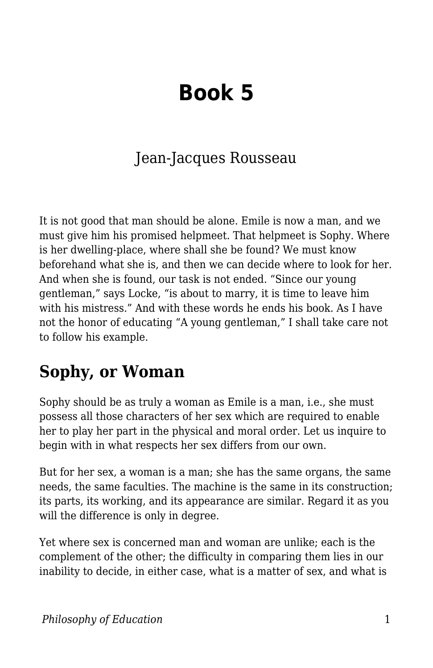## **Book 5**

## Jean-Jacques Rousseau

It is not good that man should be alone. Emile is now a man, and we must give him his promised helpmeet. That helpmeet is Sophy. Where is her dwelling-place, where shall she be found? We must know beforehand what she is, and then we can decide where to look for her. And when she is found, our task is not ended. "Since our young gentleman," says Locke, "is about to marry, it is time to leave him with his mistress." And with these words he ends his book. As I have not the honor of educating "A young gentleman," I shall take care not to follow his example.

## **Sophy, or Woman**

Sophy should be as truly a woman as Emile is a man, i.e., she must possess all those characters of her sex which are required to enable her to play her part in the physical and moral order. Let us inquire to begin with in what respects her sex differs from our own.

But for her sex, a woman is a man; she has the same organs, the same needs, the same faculties. The machine is the same in its construction; its parts, its working, and its appearance are similar. Regard it as you will the difference is only in degree.

Yet where sex is concerned man and woman are unlike; each is the complement of the other; the difficulty in comparing them lies in our inability to decide, in either case, what is a matter of sex, and what is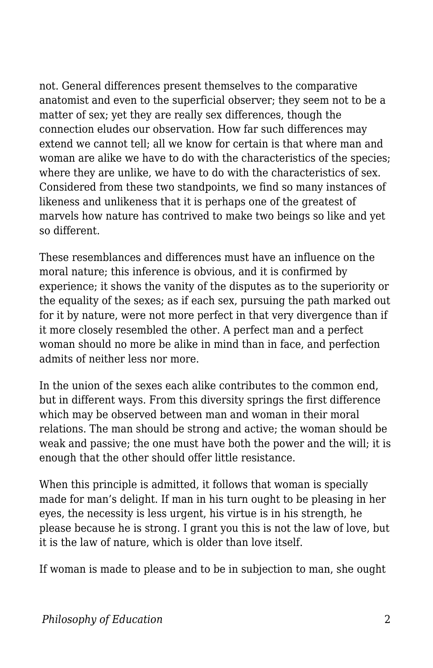not. General differences present themselves to the comparative anatomist and even to the superficial observer; they seem not to be a matter of sex; yet they are really sex differences, though the connection eludes our observation. How far such differences may extend we cannot tell; all we know for certain is that where man and woman are alike we have to do with the characteristics of the species; where they are unlike, we have to do with the characteristics of sex. Considered from these two standpoints, we find so many instances of likeness and unlikeness that it is perhaps one of the greatest of marvels how nature has contrived to make two beings so like and yet so different.

These resemblances and differences must have an influence on the moral nature; this inference is obvious, and it is confirmed by experience; it shows the vanity of the disputes as to the superiority or the equality of the sexes; as if each sex, pursuing the path marked out for it by nature, were not more perfect in that very divergence than if it more closely resembled the other. A perfect man and a perfect woman should no more be alike in mind than in face, and perfection admits of neither less nor more.

In the union of the sexes each alike contributes to the common end, but in different ways. From this diversity springs the first difference which may be observed between man and woman in their moral relations. The man should be strong and active; the woman should be weak and passive; the one must have both the power and the will; it is enough that the other should offer little resistance.

When this principle is admitted, it follows that woman is specially made for man's delight. If man in his turn ought to be pleasing in her eyes, the necessity is less urgent, his virtue is in his strength, he please because he is strong. I grant you this is not the law of love, but it is the law of nature, which is older than love itself.

If woman is made to please and to be in subjection to man, she ought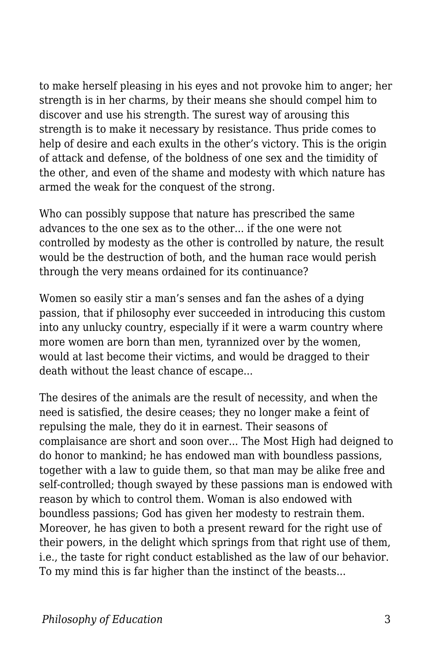to make herself pleasing in his eyes and not provoke him to anger; her strength is in her charms, by their means she should compel him to discover and use his strength. The surest way of arousing this strength is to make it necessary by resistance. Thus pride comes to help of desire and each exults in the other's victory. This is the origin of attack and defense, of the boldness of one sex and the timidity of the other, and even of the shame and modesty with which nature has armed the weak for the conquest of the strong.

Who can possibly suppose that nature has prescribed the same advances to the one sex as to the other... if the one were not controlled by modesty as the other is controlled by nature, the result would be the destruction of both, and the human race would perish through the very means ordained for its continuance?

Women so easily stir a man's senses and fan the ashes of a dying passion, that if philosophy ever succeeded in introducing this custom into any unlucky country, especially if it were a warm country where more women are born than men, tyrannized over by the women, would at last become their victims, and would be dragged to their death without the least chance of escape...

The desires of the animals are the result of necessity, and when the need is satisfied, the desire ceases; they no longer make a feint of repulsing the male, they do it in earnest. Their seasons of complaisance are short and soon over... The Most High had deigned to do honor to mankind; he has endowed man with boundless passions, together with a law to guide them, so that man may be alike free and self-controlled; though swayed by these passions man is endowed with reason by which to control them. Woman is also endowed with boundless passions; God has given her modesty to restrain them. Moreover, he has given to both a present reward for the right use of their powers, in the delight which springs from that right use of them, i.e., the taste for right conduct established as the law of our behavior. To my mind this is far higher than the instinct of the beasts...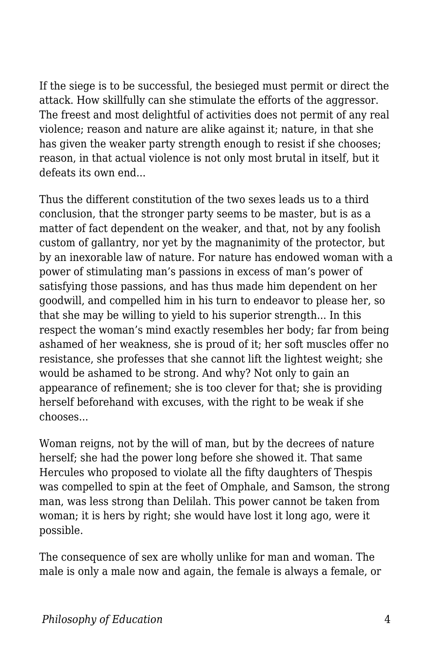If the siege is to be successful, the besieged must permit or direct the attack. How skillfully can she stimulate the efforts of the aggressor. The freest and most delightful of activities does not permit of any real violence; reason and nature are alike against it; nature, in that she has given the weaker party strength enough to resist if she chooses; reason, in that actual violence is not only most brutal in itself, but it defeats its own end...

Thus the different constitution of the two sexes leads us to a third conclusion, that the stronger party seems to be master, but is as a matter of fact dependent on the weaker, and that, not by any foolish custom of gallantry, nor yet by the magnanimity of the protector, but by an inexorable law of nature. For nature has endowed woman with a power of stimulating man's passions in excess of man's power of satisfying those passions, and has thus made him dependent on her goodwill, and compelled him in his turn to endeavor to please her, so that she may be willing to yield to his superior strength... In this respect the woman's mind exactly resembles her body; far from being ashamed of her weakness, she is proud of it; her soft muscles offer no resistance, she professes that she cannot lift the lightest weight; she would be ashamed to be strong. And why? Not only to gain an appearance of refinement; she is too clever for that; she is providing herself beforehand with excuses, with the right to be weak if she chooses...

Woman reigns, not by the will of man, but by the decrees of nature herself; she had the power long before she showed it. That same Hercules who proposed to violate all the fifty daughters of Thespis was compelled to spin at the feet of Omphale, and Samson, the strong man, was less strong than Delilah. This power cannot be taken from woman; it is hers by right; she would have lost it long ago, were it possible.

The consequence of sex are wholly unlike for man and woman. The male is only a male now and again, the female is always a female, or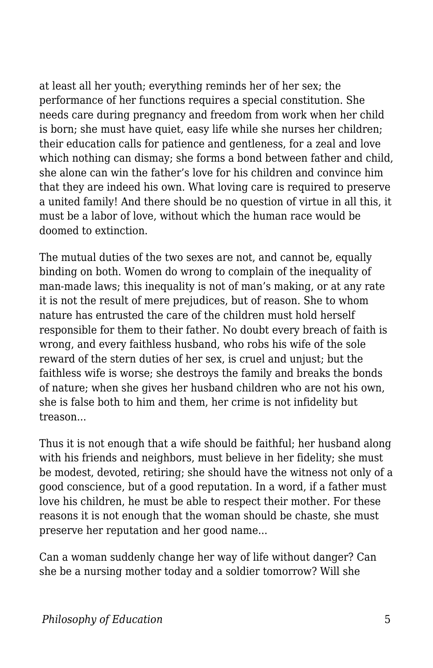at least all her youth; everything reminds her of her sex; the performance of her functions requires a special constitution. She needs care during pregnancy and freedom from work when her child is born; she must have quiet, easy life while she nurses her children; their education calls for patience and gentleness, for a zeal and love which nothing can dismay; she forms a bond between father and child, she alone can win the father's love for his children and convince him that they are indeed his own. What loving care is required to preserve a united family! And there should be no question of virtue in all this, it must be a labor of love, without which the human race would be doomed to extinction.

The mutual duties of the two sexes are not, and cannot be, equally binding on both. Women do wrong to complain of the inequality of man-made laws; this inequality is not of man's making, or at any rate it is not the result of mere prejudices, but of reason. She to whom nature has entrusted the care of the children must hold herself responsible for them to their father. No doubt every breach of faith is wrong, and every faithless husband, who robs his wife of the sole reward of the stern duties of her sex, is cruel and unjust; but the faithless wife is worse; she destroys the family and breaks the bonds of nature; when she gives her husband children who are not his own, she is false both to him and them, her crime is not infidelity but treason...

Thus it is not enough that a wife should be faithful; her husband along with his friends and neighbors, must believe in her fidelity; she must be modest, devoted, retiring; she should have the witness not only of a good conscience, but of a good reputation. In a word, if a father must love his children, he must be able to respect their mother. For these reasons it is not enough that the woman should be chaste, she must preserve her reputation and her good name...

Can a woman suddenly change her way of life without danger? Can she be a nursing mother today and a soldier tomorrow? Will she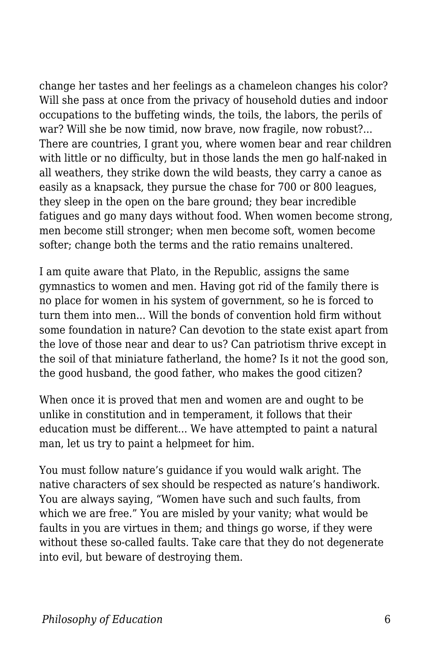change her tastes and her feelings as a chameleon changes his color? Will she pass at once from the privacy of household duties and indoor occupations to the buffeting winds, the toils, the labors, the perils of war? Will she be now timid, now brave, now fragile, now robust?... There are countries, I grant you, where women bear and rear children with little or no difficulty, but in those lands the men go half-naked in all weathers, they strike down the wild beasts, they carry a canoe as easily as a knapsack, they pursue the chase for 700 or 800 leagues, they sleep in the open on the bare ground; they bear incredible fatigues and go many days without food. When women become strong, men become still stronger; when men become soft, women become softer; change both the terms and the ratio remains unaltered.

I am quite aware that Plato, in the Republic, assigns the same gymnastics to women and men. Having got rid of the family there is no place for women in his system of government, so he is forced to turn them into men... Will the bonds of convention hold firm without some foundation in nature? Can devotion to the state exist apart from the love of those near and dear to us? Can patriotism thrive except in the soil of that miniature fatherland, the home? Is it not the good son, the good husband, the good father, who makes the good citizen?

When once it is proved that men and women are and ought to be unlike in constitution and in temperament, it follows that their education must be different... We have attempted to paint a natural man, let us try to paint a helpmeet for him.

You must follow nature's guidance if you would walk aright. The native characters of sex should be respected as nature's handiwork. You are always saying, "Women have such and such faults, from which we are free." You are misled by your vanity; what would be faults in you are virtues in them; and things go worse, if they were without these so-called faults. Take care that they do not degenerate into evil, but beware of destroying them.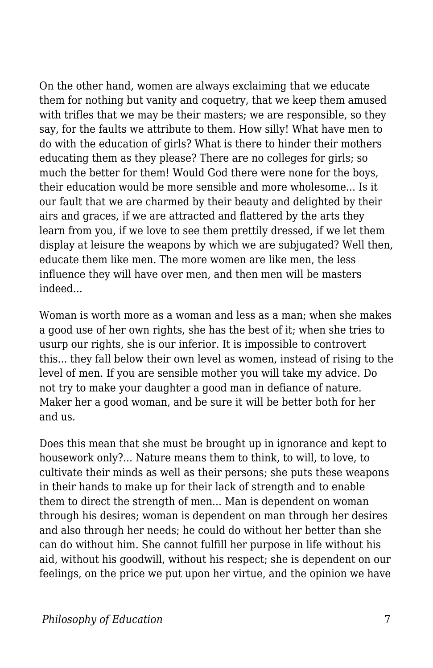On the other hand, women are always exclaiming that we educate them for nothing but vanity and coquetry, that we keep them amused with trifles that we may be their masters; we are responsible, so they say, for the faults we attribute to them. How silly! What have men to do with the education of girls? What is there to hinder their mothers educating them as they please? There are no colleges for girls; so much the better for them! Would God there were none for the boys, their education would be more sensible and more wholesome... Is it our fault that we are charmed by their beauty and delighted by their airs and graces, if we are attracted and flattered by the arts they learn from you, if we love to see them prettily dressed, if we let them display at leisure the weapons by which we are subjugated? Well then, educate them like men. The more women are like men, the less influence they will have over men, and then men will be masters indeed...

Woman is worth more as a woman and less as a man; when she makes a good use of her own rights, she has the best of it; when she tries to usurp our rights, she is our inferior. It is impossible to controvert this... they fall below their own level as women, instead of rising to the level of men. If you are sensible mother you will take my advice. Do not try to make your daughter a good man in defiance of nature. Maker her a good woman, and be sure it will be better both for her and us.

Does this mean that she must be brought up in ignorance and kept to housework only?... Nature means them to think, to will, to love, to cultivate their minds as well as their persons; she puts these weapons in their hands to make up for their lack of strength and to enable them to direct the strength of men... Man is dependent on woman through his desires; woman is dependent on man through her desires and also through her needs; he could do without her better than she can do without him. She cannot fulfill her purpose in life without his aid, without his goodwill, without his respect; she is dependent on our feelings, on the price we put upon her virtue, and the opinion we have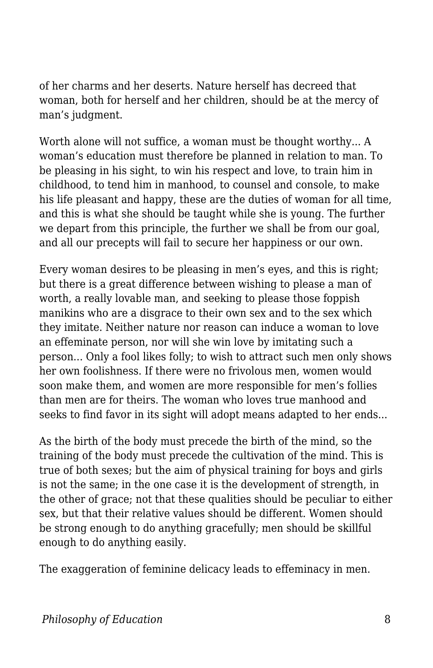of her charms and her deserts. Nature herself has decreed that woman, both for herself and her children, should be at the mercy of man's judgment.

Worth alone will not suffice, a woman must be thought worthy... A woman's education must therefore be planned in relation to man. To be pleasing in his sight, to win his respect and love, to train him in childhood, to tend him in manhood, to counsel and console, to make his life pleasant and happy, these are the duties of woman for all time, and this is what she should be taught while she is young. The further we depart from this principle, the further we shall be from our goal, and all our precepts will fail to secure her happiness or our own.

Every woman desires to be pleasing in men's eyes, and this is right; but there is a great difference between wishing to please a man of worth, a really lovable man, and seeking to please those foppish manikins who are a disgrace to their own sex and to the sex which they imitate. Neither nature nor reason can induce a woman to love an effeminate person, nor will she win love by imitating such a person... Only a fool likes folly; to wish to attract such men only shows her own foolishness. If there were no frivolous men, women would soon make them, and women are more responsible for men's follies than men are for theirs. The woman who loves true manhood and seeks to find favor in its sight will adopt means adapted to her ends...

As the birth of the body must precede the birth of the mind, so the training of the body must precede the cultivation of the mind. This is true of both sexes; but the aim of physical training for boys and girls is not the same; in the one case it is the development of strength, in the other of grace; not that these qualities should be peculiar to either sex, but that their relative values should be different. Women should be strong enough to do anything gracefully; men should be skillful enough to do anything easily.

The exaggeration of feminine delicacy leads to effeminacy in men.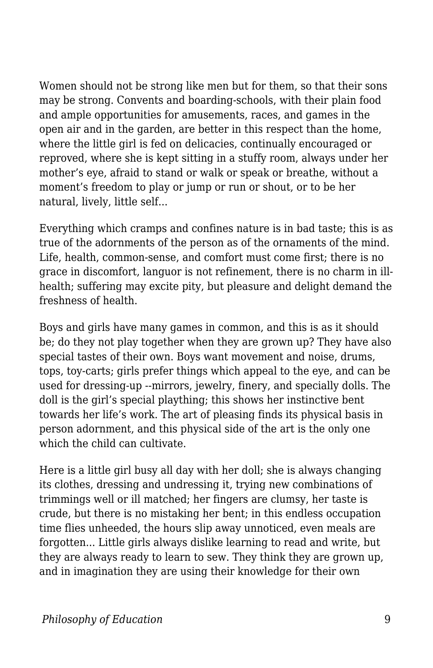Women should not be strong like men but for them, so that their sons may be strong. Convents and boarding-schools, with their plain food and ample opportunities for amusements, races, and games in the open air and in the garden, are better in this respect than the home, where the little girl is fed on delicacies, continually encouraged or reproved, where she is kept sitting in a stuffy room, always under her mother's eye, afraid to stand or walk or speak or breathe, without a moment's freedom to play or jump or run or shout, or to be her natural, lively, little self...

Everything which cramps and confines nature is in bad taste; this is as true of the adornments of the person as of the ornaments of the mind. Life, health, common-sense, and comfort must come first; there is no grace in discomfort, languor is not refinement, there is no charm in illhealth; suffering may excite pity, but pleasure and delight demand the freshness of health.

Boys and girls have many games in common, and this is as it should be; do they not play together when they are grown up? They have also special tastes of their own. Boys want movement and noise, drums, tops, toy-carts; girls prefer things which appeal to the eye, and can be used for dressing-up --mirrors, jewelry, finery, and specially dolls. The doll is the girl's special plaything; this shows her instinctive bent towards her life's work. The art of pleasing finds its physical basis in person adornment, and this physical side of the art is the only one which the child can cultivate.

Here is a little girl busy all day with her doll; she is always changing its clothes, dressing and undressing it, trying new combinations of trimmings well or ill matched; her fingers are clumsy, her taste is crude, but there is no mistaking her bent; in this endless occupation time flies unheeded, the hours slip away unnoticed, even meals are forgotten... Little girls always dislike learning to read and write, but they are always ready to learn to sew. They think they are grown up, and in imagination they are using their knowledge for their own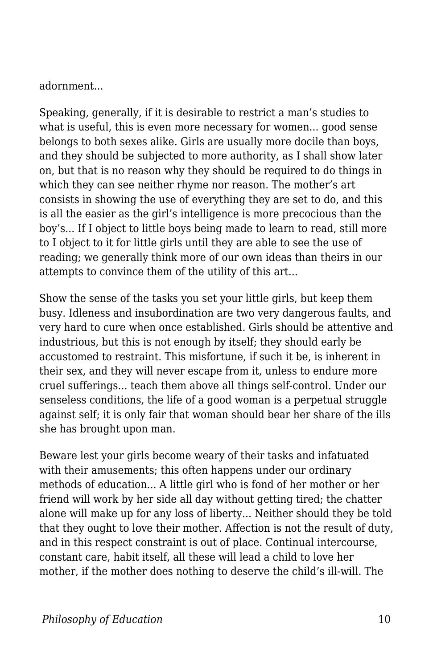adornment...

Speaking, generally, if it is desirable to restrict a man's studies to what is useful, this is even more necessary for women... good sense belongs to both sexes alike. Girls are usually more docile than boys, and they should be subjected to more authority, as I shall show later on, but that is no reason why they should be required to do things in which they can see neither rhyme nor reason. The mother's art consists in showing the use of everything they are set to do, and this is all the easier as the girl's intelligence is more precocious than the boy's... If I object to little boys being made to learn to read, still more to I object to it for little girls until they are able to see the use of reading; we generally think more of our own ideas than theirs in our attempts to convince them of the utility of this art...

Show the sense of the tasks you set your little girls, but keep them busy. Idleness and insubordination are two very dangerous faults, and very hard to cure when once established. Girls should be attentive and industrious, but this is not enough by itself; they should early be accustomed to restraint. This misfortune, if such it be, is inherent in their sex, and they will never escape from it, unless to endure more cruel sufferings... teach them above all things self-control. Under our senseless conditions, the life of a good woman is a perpetual struggle against self; it is only fair that woman should bear her share of the ills she has brought upon man.

Beware lest your girls become weary of their tasks and infatuated with their amusements; this often happens under our ordinary methods of education... A little girl who is fond of her mother or her friend will work by her side all day without getting tired; the chatter alone will make up for any loss of liberty... Neither should they be told that they ought to love their mother. Affection is not the result of duty, and in this respect constraint is out of place. Continual intercourse, constant care, habit itself, all these will lead a child to love her mother, if the mother does nothing to deserve the child's ill-will. The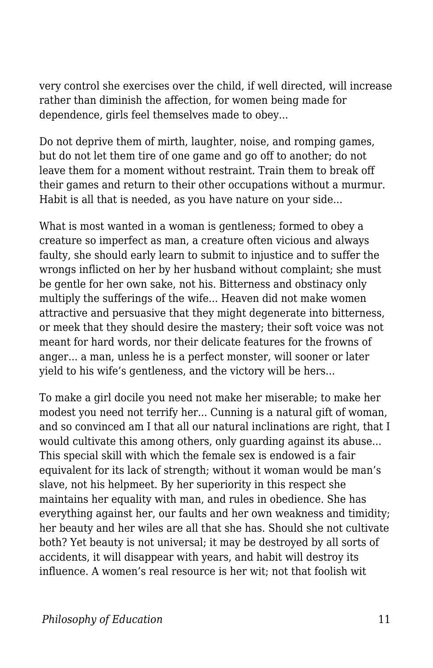very control she exercises over the child, if well directed, will increase rather than diminish the affection, for women being made for dependence, girls feel themselves made to obey...

Do not deprive them of mirth, laughter, noise, and romping games, but do not let them tire of one game and go off to another; do not leave them for a moment without restraint. Train them to break off their games and return to their other occupations without a murmur. Habit is all that is needed, as you have nature on your side...

What is most wanted in a woman is gentleness; formed to obey a creature so imperfect as man, a creature often vicious and always faulty, she should early learn to submit to injustice and to suffer the wrongs inflicted on her by her husband without complaint; she must be gentle for her own sake, not his. Bitterness and obstinacy only multiply the sufferings of the wife... Heaven did not make women attractive and persuasive that they might degenerate into bitterness, or meek that they should desire the mastery; their soft voice was not meant for hard words, nor their delicate features for the frowns of anger... a man, unless he is a perfect monster, will sooner or later yield to his wife's gentleness, and the victory will be hers...

To make a girl docile you need not make her miserable; to make her modest you need not terrify her... Cunning is a natural gift of woman, and so convinced am I that all our natural inclinations are right, that I would cultivate this among others, only guarding against its abuse... This special skill with which the female sex is endowed is a fair equivalent for its lack of strength; without it woman would be man's slave, not his helpmeet. By her superiority in this respect she maintains her equality with man, and rules in obedience. She has everything against her, our faults and her own weakness and timidity; her beauty and her wiles are all that she has. Should she not cultivate both? Yet beauty is not universal; it may be destroyed by all sorts of accidents, it will disappear with years, and habit will destroy its influence. A women's real resource is her wit; not that foolish wit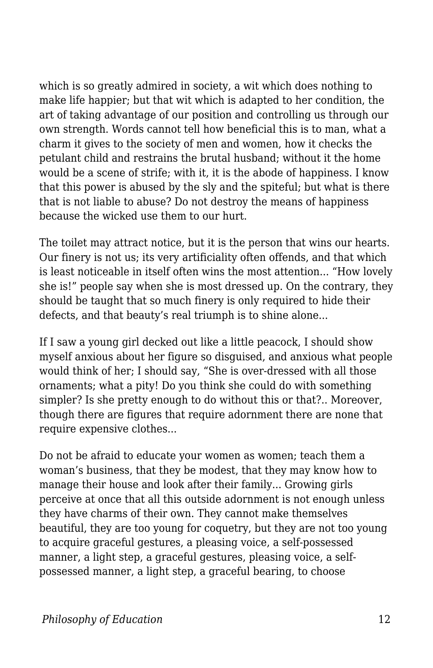which is so greatly admired in society, a wit which does nothing to make life happier; but that wit which is adapted to her condition, the art of taking advantage of our position and controlling us through our own strength. Words cannot tell how beneficial this is to man, what a charm it gives to the society of men and women, how it checks the petulant child and restrains the brutal husband; without it the home would be a scene of strife; with it, it is the abode of happiness. I know that this power is abused by the sly and the spiteful; but what is there that is not liable to abuse? Do not destroy the means of happiness because the wicked use them to our hurt.

The toilet may attract notice, but it is the person that wins our hearts. Our finery is not us; its very artificiality often offends, and that which is least noticeable in itself often wins the most attention... "How lovely she is!" people say when she is most dressed up. On the contrary, they should be taught that so much finery is only required to hide their defects, and that beauty's real triumph is to shine alone...

If I saw a young girl decked out like a little peacock, I should show myself anxious about her figure so disguised, and anxious what people would think of her; I should say, "She is over-dressed with all those ornaments; what a pity! Do you think she could do with something simpler? Is she pretty enough to do without this or that?.. Moreover, though there are figures that require adornment there are none that require expensive clothes...

Do not be afraid to educate your women as women; teach them a woman's business, that they be modest, that they may know how to manage their house and look after their family... Growing girls perceive at once that all this outside adornment is not enough unless they have charms of their own. They cannot make themselves beautiful, they are too young for coquetry, but they are not too young to acquire graceful gestures, a pleasing voice, a self-possessed manner, a light step, a graceful gestures, pleasing voice, a selfpossessed manner, a light step, a graceful bearing, to choose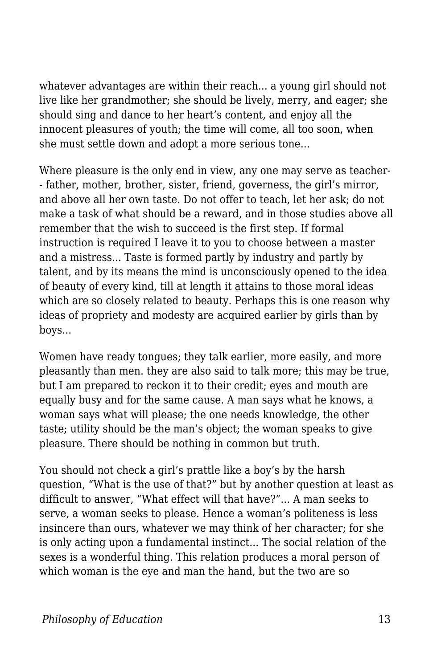whatever advantages are within their reach... a young girl should not live like her grandmother; she should be lively, merry, and eager; she should sing and dance to her heart's content, and enjoy all the innocent pleasures of youth; the time will come, all too soon, when she must settle down and adopt a more serious tone...

Where pleasure is the only end in view, any one may serve as teacher- - father, mother, brother, sister, friend, governess, the girl's mirror, and above all her own taste. Do not offer to teach, let her ask; do not make a task of what should be a reward, and in those studies above all remember that the wish to succeed is the first step. If formal instruction is required I leave it to you to choose between a master and a mistress... Taste is formed partly by industry and partly by talent, and by its means the mind is unconsciously opened to the idea of beauty of every kind, till at length it attains to those moral ideas which are so closely related to beauty. Perhaps this is one reason why ideas of propriety and modesty are acquired earlier by girls than by boys...

Women have ready tongues; they talk earlier, more easily, and more pleasantly than men. they are also said to talk more; this may be true, but I am prepared to reckon it to their credit; eyes and mouth are equally busy and for the same cause. A man says what he knows, a woman says what will please; the one needs knowledge, the other taste; utility should be the man's object; the woman speaks to give pleasure. There should be nothing in common but truth.

You should not check a girl's prattle like a boy's by the harsh question, "What is the use of that?" but by another question at least as difficult to answer, "What effect will that have?"... A man seeks to serve, a woman seeks to please. Hence a woman's politeness is less insincere than ours, whatever we may think of her character; for she is only acting upon a fundamental instinct... The social relation of the sexes is a wonderful thing. This relation produces a moral person of which woman is the eye and man the hand, but the two are so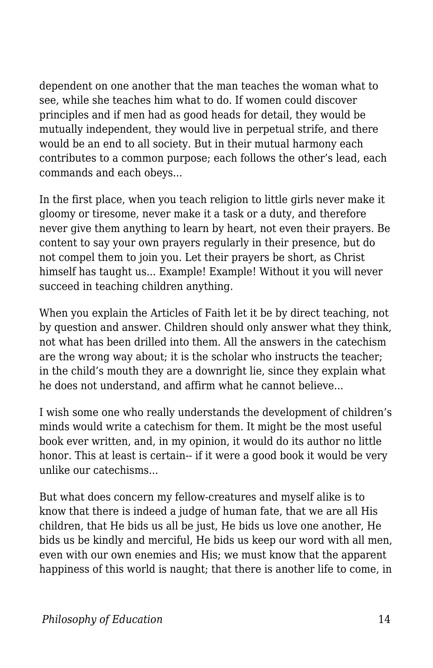dependent on one another that the man teaches the woman what to see, while she teaches him what to do. If women could discover principles and if men had as good heads for detail, they would be mutually independent, they would live in perpetual strife, and there would be an end to all society. But in their mutual harmony each contributes to a common purpose; each follows the other's lead, each commands and each obeys...

In the first place, when you teach religion to little girls never make it gloomy or tiresome, never make it a task or a duty, and therefore never give them anything to learn by heart, not even their prayers. Be content to say your own prayers regularly in their presence, but do not compel them to join you. Let their prayers be short, as Christ himself has taught us... Example! Example! Without it you will never succeed in teaching children anything.

When you explain the Articles of Faith let it be by direct teaching, not by question and answer. Children should only answer what they think, not what has been drilled into them. All the answers in the catechism are the wrong way about; it is the scholar who instructs the teacher; in the child's mouth they are a downright lie, since they explain what he does not understand, and affirm what he cannot believe...

I wish some one who really understands the development of children's minds would write a catechism for them. It might be the most useful book ever written, and, in my opinion, it would do its author no little honor. This at least is certain-- if it were a good book it would be very unlike our catechisms...

But what does concern my fellow-creatures and myself alike is to know that there is indeed a judge of human fate, that we are all His children, that He bids us all be just, He bids us love one another, He bids us be kindly and merciful, He bids us keep our word with all men, even with our own enemies and His; we must know that the apparent happiness of this world is naught; that there is another life to come, in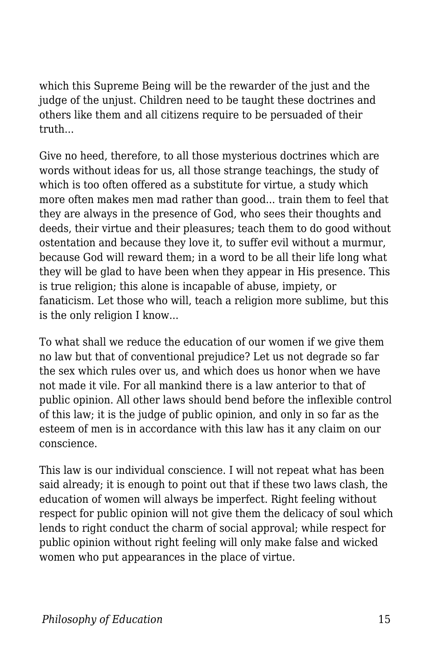which this Supreme Being will be the rewarder of the just and the judge of the unjust. Children need to be taught these doctrines and others like them and all citizens require to be persuaded of their truth...

Give no heed, therefore, to all those mysterious doctrines which are words without ideas for us, all those strange teachings, the study of which is too often offered as a substitute for virtue, a study which more often makes men mad rather than good... train them to feel that they are always in the presence of God, who sees their thoughts and deeds, their virtue and their pleasures; teach them to do good without ostentation and because they love it, to suffer evil without a murmur, because God will reward them; in a word to be all their life long what they will be glad to have been when they appear in His presence. This is true religion; this alone is incapable of abuse, impiety, or fanaticism. Let those who will, teach a religion more sublime, but this is the only religion I know...

To what shall we reduce the education of our women if we give them no law but that of conventional prejudice? Let us not degrade so far the sex which rules over us, and which does us honor when we have not made it vile. For all mankind there is a law anterior to that of public opinion. All other laws should bend before the inflexible control of this law; it is the judge of public opinion, and only in so far as the esteem of men is in accordance with this law has it any claim on our conscience.

This law is our individual conscience. I will not repeat what has been said already; it is enough to point out that if these two laws clash, the education of women will always be imperfect. Right feeling without respect for public opinion will not give them the delicacy of soul which lends to right conduct the charm of social approval; while respect for public opinion without right feeling will only make false and wicked women who put appearances in the place of virtue.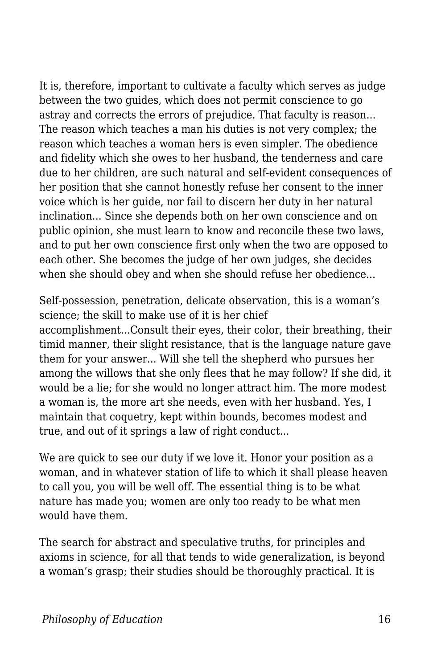It is, therefore, important to cultivate a faculty which serves as judge between the two guides, which does not permit conscience to go astray and corrects the errors of prejudice. That faculty is reason... The reason which teaches a man his duties is not very complex; the reason which teaches a woman hers is even simpler. The obedience and fidelity which she owes to her husband, the tenderness and care due to her children, are such natural and self-evident consequences of her position that she cannot honestly refuse her consent to the inner voice which is her guide, nor fail to discern her duty in her natural inclination... Since she depends both on her own conscience and on public opinion, she must learn to know and reconcile these two laws, and to put her own conscience first only when the two are opposed to each other. She becomes the judge of her own judges, she decides when she should obey and when she should refuse her obedience...

Self-possession, penetration, delicate observation, this is a woman's science; the skill to make use of it is her chief accomplishment...Consult their eyes, their color, their breathing, their timid manner, their slight resistance, that is the language nature gave them for your answer... Will she tell the shepherd who pursues her among the willows that she only flees that he may follow? If she did, it would be a lie; for she would no longer attract him. The more modest a woman is, the more art she needs, even with her husband. Yes, I maintain that coquetry, kept within bounds, becomes modest and true, and out of it springs a law of right conduct...

We are quick to see our duty if we love it. Honor your position as a woman, and in whatever station of life to which it shall please heaven to call you, you will be well off. The essential thing is to be what nature has made you; women are only too ready to be what men would have them.

The search for abstract and speculative truths, for principles and axioms in science, for all that tends to wide generalization, is beyond a woman's grasp; their studies should be thoroughly practical. It is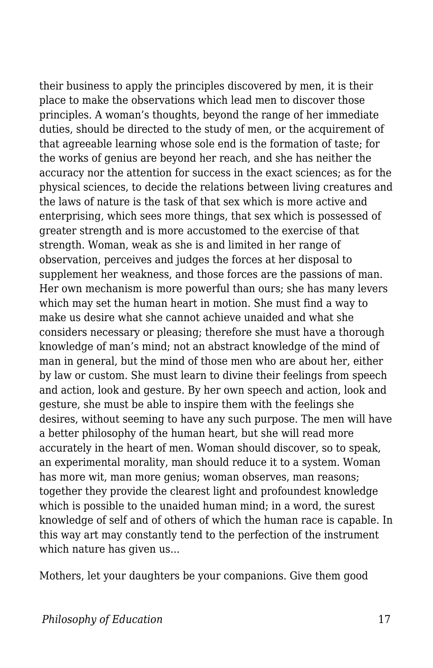their business to apply the principles discovered by men, it is their place to make the observations which lead men to discover those principles. A woman's thoughts, beyond the range of her immediate duties, should be directed to the study of men, or the acquirement of that agreeable learning whose sole end is the formation of taste; for the works of genius are beyond her reach, and she has neither the accuracy nor the attention for success in the exact sciences; as for the physical sciences, to decide the relations between living creatures and the laws of nature is the task of that sex which is more active and enterprising, which sees more things, that sex which is possessed of greater strength and is more accustomed to the exercise of that strength. Woman, weak as she is and limited in her range of observation, perceives and judges the forces at her disposal to supplement her weakness, and those forces are the passions of man. Her own mechanism is more powerful than ours; she has many levers which may set the human heart in motion. She must find a way to make us desire what she cannot achieve unaided and what she considers necessary or pleasing; therefore she must have a thorough knowledge of man's mind; not an abstract knowledge of the mind of man in general, but the mind of those men who are about her, either by law or custom. She must learn to divine their feelings from speech and action, look and gesture. By her own speech and action, look and gesture, she must be able to inspire them with the feelings she desires, without seeming to have any such purpose. The men will have a better philosophy of the human heart, but she will read more accurately in the heart of men. Woman should discover, so to speak, an experimental morality, man should reduce it to a system. Woman has more wit, man more genius; woman observes, man reasons; together they provide the clearest light and profoundest knowledge which is possible to the unaided human mind; in a word, the surest knowledge of self and of others of which the human race is capable. In this way art may constantly tend to the perfection of the instrument which nature has given us...

Mothers, let your daughters be your companions. Give them good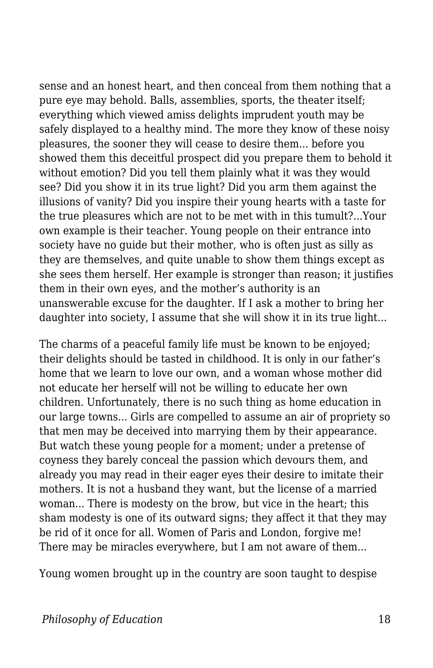sense and an honest heart, and then conceal from them nothing that a pure eye may behold. Balls, assemblies, sports, the theater itself; everything which viewed amiss delights imprudent youth may be safely displayed to a healthy mind. The more they know of these noisy pleasures, the sooner they will cease to desire them... before you showed them this deceitful prospect did you prepare them to behold it without emotion? Did you tell them plainly what it was they would see? Did you show it in its true light? Did you arm them against the illusions of vanity? Did you inspire their young hearts with a taste for the true pleasures which are not to be met with in this tumult?...Your own example is their teacher. Young people on their entrance into society have no guide but their mother, who is often just as silly as they are themselves, and quite unable to show them things except as she sees them herself. Her example is stronger than reason; it justifies them in their own eyes, and the mother's authority is an unanswerable excuse for the daughter. If I ask a mother to bring her daughter into society, I assume that she will show it in its true light...

The charms of a peaceful family life must be known to be enjoyed; their delights should be tasted in childhood. It is only in our father's home that we learn to love our own, and a woman whose mother did not educate her herself will not be willing to educate her own children. Unfortunately, there is no such thing as home education in our large towns... Girls are compelled to assume an air of propriety so that men may be deceived into marrying them by their appearance. But watch these young people for a moment; under a pretense of coyness they barely conceal the passion which devours them, and already you may read in their eager eyes their desire to imitate their mothers. It is not a husband they want, but the license of a married woman... There is modesty on the brow, but vice in the heart; this sham modesty is one of its outward signs; they affect it that they may be rid of it once for all. Women of Paris and London, forgive me! There may be miracles everywhere, but I am not aware of them...

Young women brought up in the country are soon taught to despise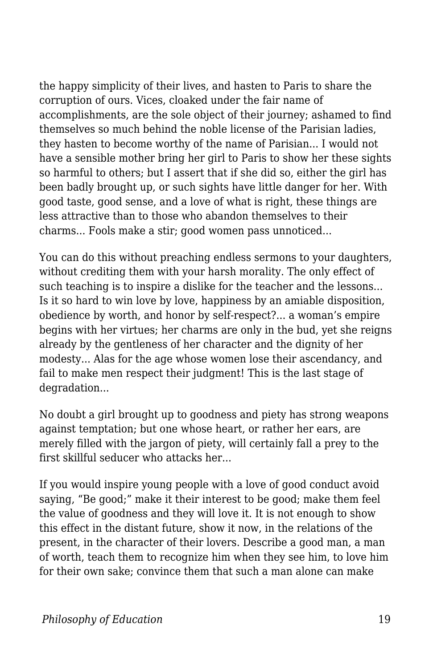the happy simplicity of their lives, and hasten to Paris to share the corruption of ours. Vices, cloaked under the fair name of accomplishments, are the sole object of their journey; ashamed to find themselves so much behind the noble license of the Parisian ladies, they hasten to become worthy of the name of Parisian... I would not have a sensible mother bring her girl to Paris to show her these sights so harmful to others; but I assert that if she did so, either the girl has been badly brought up, or such sights have little danger for her. With good taste, good sense, and a love of what is right, these things are less attractive than to those who abandon themselves to their charms... Fools make a stir; good women pass unnoticed...

You can do this without preaching endless sermons to your daughters, without crediting them with your harsh morality. The only effect of such teaching is to inspire a dislike for the teacher and the lessons... Is it so hard to win love by love, happiness by an amiable disposition, obedience by worth, and honor by self-respect?... a woman's empire begins with her virtues; her charms are only in the bud, yet she reigns already by the gentleness of her character and the dignity of her modesty... Alas for the age whose women lose their ascendancy, and fail to make men respect their judgment! This is the last stage of degradation...

No doubt a girl brought up to goodness and piety has strong weapons against temptation; but one whose heart, or rather her ears, are merely filled with the jargon of piety, will certainly fall a prey to the first skillful seducer who attacks her...

If you would inspire young people with a love of good conduct avoid saying, "Be good;" make it their interest to be good; make them feel the value of goodness and they will love it. It is not enough to show this effect in the distant future, show it now, in the relations of the present, in the character of their lovers. Describe a good man, a man of worth, teach them to recognize him when they see him, to love him for their own sake; convince them that such a man alone can make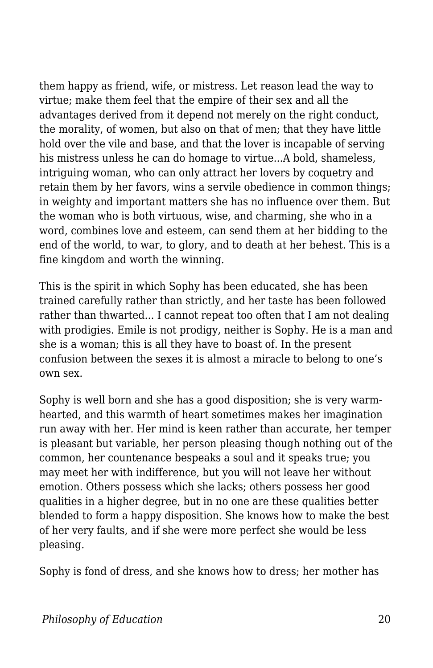them happy as friend, wife, or mistress. Let reason lead the way to virtue; make them feel that the empire of their sex and all the advantages derived from it depend not merely on the right conduct, the morality, of women, but also on that of men; that they have little hold over the vile and base, and that the lover is incapable of serving his mistress unless he can do homage to virtue...A bold, shameless, intriguing woman, who can only attract her lovers by coquetry and retain them by her favors, wins a servile obedience in common things; in weighty and important matters she has no influence over them. But the woman who is both virtuous, wise, and charming, she who in a word, combines love and esteem, can send them at her bidding to the end of the world, to war, to glory, and to death at her behest. This is a fine kingdom and worth the winning.

This is the spirit in which Sophy has been educated, she has been trained carefully rather than strictly, and her taste has been followed rather than thwarted... I cannot repeat too often that I am not dealing with prodigies. Emile is not prodigy, neither is Sophy. He is a man and she is a woman; this is all they have to boast of. In the present confusion between the sexes it is almost a miracle to belong to one's own sex.

Sophy is well born and she has a good disposition; she is very warmhearted, and this warmth of heart sometimes makes her imagination run away with her. Her mind is keen rather than accurate, her temper is pleasant but variable, her person pleasing though nothing out of the common, her countenance bespeaks a soul and it speaks true; you may meet her with indifference, but you will not leave her without emotion. Others possess which she lacks; others possess her good qualities in a higher degree, but in no one are these qualities better blended to form a happy disposition. She knows how to make the best of her very faults, and if she were more perfect she would be less pleasing.

Sophy is fond of dress, and she knows how to dress; her mother has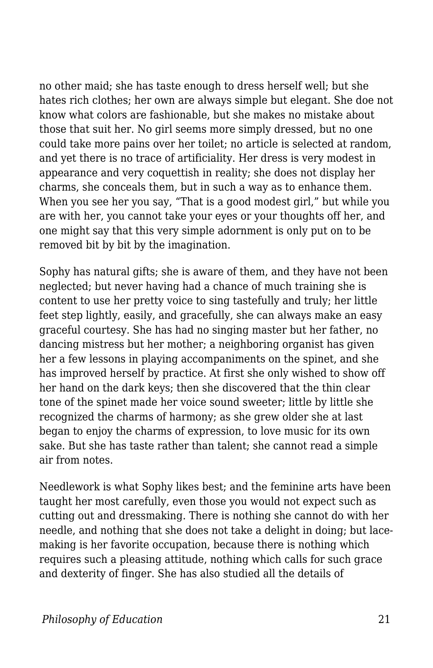no other maid; she has taste enough to dress herself well; but she hates rich clothes; her own are always simple but elegant. She doe not know what colors are fashionable, but she makes no mistake about those that suit her. No girl seems more simply dressed, but no one could take more pains over her toilet; no article is selected at random, and yet there is no trace of artificiality. Her dress is very modest in appearance and very coquettish in reality; she does not display her charms, she conceals them, but in such a way as to enhance them. When you see her you say, "That is a good modest girl," but while you are with her, you cannot take your eyes or your thoughts off her, and one might say that this very simple adornment is only put on to be removed bit by bit by the imagination.

Sophy has natural gifts; she is aware of them, and they have not been neglected; but never having had a chance of much training she is content to use her pretty voice to sing tastefully and truly; her little feet step lightly, easily, and gracefully, she can always make an easy graceful courtesy. She has had no singing master but her father, no dancing mistress but her mother; a neighboring organist has given her a few lessons in playing accompaniments on the spinet, and she has improved herself by practice. At first she only wished to show off her hand on the dark keys; then she discovered that the thin clear tone of the spinet made her voice sound sweeter; little by little she recognized the charms of harmony; as she grew older she at last began to enjoy the charms of expression, to love music for its own sake. But she has taste rather than talent; she cannot read a simple air from notes.

Needlework is what Sophy likes best; and the feminine arts have been taught her most carefully, even those you would not expect such as cutting out and dressmaking. There is nothing she cannot do with her needle, and nothing that she does not take a delight in doing; but lacemaking is her favorite occupation, because there is nothing which requires such a pleasing attitude, nothing which calls for such grace and dexterity of finger. She has also studied all the details of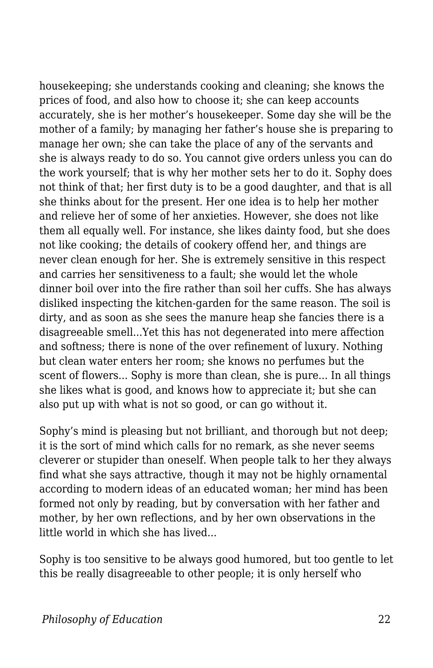housekeeping; she understands cooking and cleaning; she knows the prices of food, and also how to choose it; she can keep accounts accurately, she is her mother's housekeeper. Some day she will be the mother of a family; by managing her father's house she is preparing to manage her own; she can take the place of any of the servants and she is always ready to do so. You cannot give orders unless you can do the work yourself; that is why her mother sets her to do it. Sophy does not think of that; her first duty is to be a good daughter, and that is all she thinks about for the present. Her one idea is to help her mother and relieve her of some of her anxieties. However, she does not like them all equally well. For instance, she likes dainty food, but she does not like cooking; the details of cookery offend her, and things are never clean enough for her. She is extremely sensitive in this respect and carries her sensitiveness to a fault; she would let the whole dinner boil over into the fire rather than soil her cuffs. She has always disliked inspecting the kitchen-garden for the same reason. The soil is dirty, and as soon as she sees the manure heap she fancies there is a disagreeable smell...Yet this has not degenerated into mere affection and softness; there is none of the over refinement of luxury. Nothing but clean water enters her room; she knows no perfumes but the scent of flowers... Sophy is more than clean, she is pure... In all things she likes what is good, and knows how to appreciate it; but she can also put up with what is not so good, or can go without it.

Sophy's mind is pleasing but not brilliant, and thorough but not deep; it is the sort of mind which calls for no remark, as she never seems cleverer or stupider than oneself. When people talk to her they always find what she says attractive, though it may not be highly ornamental according to modern ideas of an educated woman; her mind has been formed not only by reading, but by conversation with her father and mother, by her own reflections, and by her own observations in the little world in which she has lived...

Sophy is too sensitive to be always good humored, but too gentle to let this be really disagreeable to other people; it is only herself who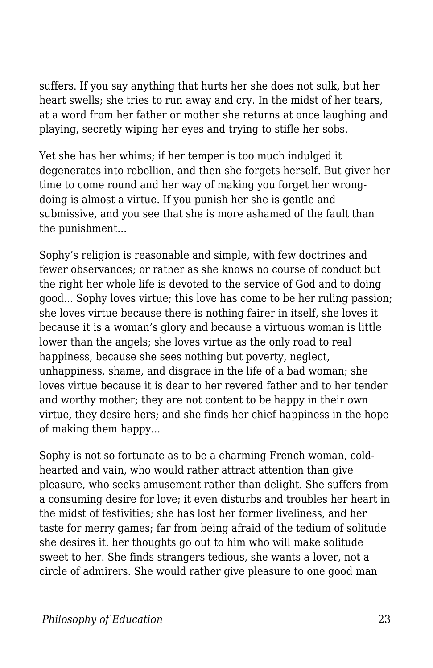suffers. If you say anything that hurts her she does not sulk, but her heart swells; she tries to run away and cry. In the midst of her tears, at a word from her father or mother she returns at once laughing and playing, secretly wiping her eyes and trying to stifle her sobs.

Yet she has her whims; if her temper is too much indulged it degenerates into rebellion, and then she forgets herself. But giver her time to come round and her way of making you forget her wrongdoing is almost a virtue. If you punish her she is gentle and submissive, and you see that she is more ashamed of the fault than the punishment...

Sophy's religion is reasonable and simple, with few doctrines and fewer observances; or rather as she knows no course of conduct but the right her whole life is devoted to the service of God and to doing good... Sophy loves virtue; this love has come to be her ruling passion; she loves virtue because there is nothing fairer in itself, she loves it because it is a woman's glory and because a virtuous woman is little lower than the angels; she loves virtue as the only road to real happiness, because she sees nothing but poverty, neglect, unhappiness, shame, and disgrace in the life of a bad woman; she loves virtue because it is dear to her revered father and to her tender and worthy mother; they are not content to be happy in their own virtue, they desire hers; and she finds her chief happiness in the hope of making them happy...

Sophy is not so fortunate as to be a charming French woman, coldhearted and vain, who would rather attract attention than give pleasure, who seeks amusement rather than delight. She suffers from a consuming desire for love; it even disturbs and troubles her heart in the midst of festivities; she has lost her former liveliness, and her taste for merry games; far from being afraid of the tedium of solitude she desires it. her thoughts go out to him who will make solitude sweet to her. She finds strangers tedious, she wants a lover, not a circle of admirers. She would rather give pleasure to one good man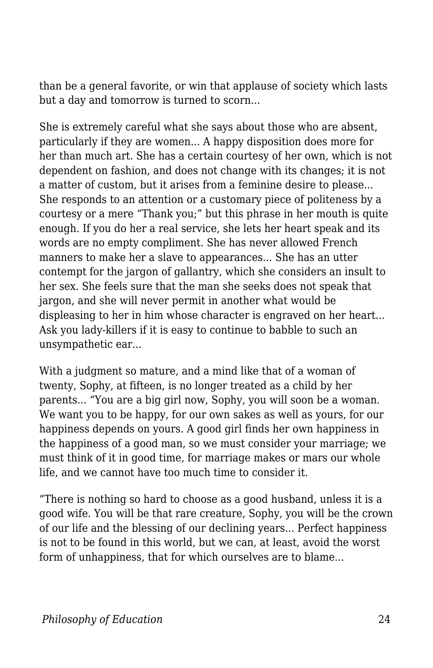than be a general favorite, or win that applause of society which lasts but a day and tomorrow is turned to scorn...

She is extremely careful what she says about those who are absent, particularly if they are women... A happy disposition does more for her than much art. She has a certain courtesy of her own, which is not dependent on fashion, and does not change with its changes; it is not a matter of custom, but it arises from a feminine desire to please... She responds to an attention or a customary piece of politeness by a courtesy or a mere "Thank you;" but this phrase in her mouth is quite enough. If you do her a real service, she lets her heart speak and its words are no empty compliment. She has never allowed French manners to make her a slave to appearances... She has an utter contempt for the jargon of gallantry, which she considers an insult to her sex. She feels sure that the man she seeks does not speak that jargon, and she will never permit in another what would be displeasing to her in him whose character is engraved on her heart... Ask you lady-killers if it is easy to continue to babble to such an unsympathetic ear...

With a judgment so mature, and a mind like that of a woman of twenty, Sophy, at fifteen, is no longer treated as a child by her parents... "You are a big girl now, Sophy, you will soon be a woman. We want you to be happy, for our own sakes as well as yours, for our happiness depends on yours. A good girl finds her own happiness in the happiness of a good man, so we must consider your marriage; we must think of it in good time, for marriage makes or mars our whole life, and we cannot have too much time to consider it.

"There is nothing so hard to choose as a good husband, unless it is a good wife. You will be that rare creature, Sophy, you will be the crown of our life and the blessing of our declining years... Perfect happiness is not to be found in this world, but we can, at least, avoid the worst form of unhappiness, that for which ourselves are to blame...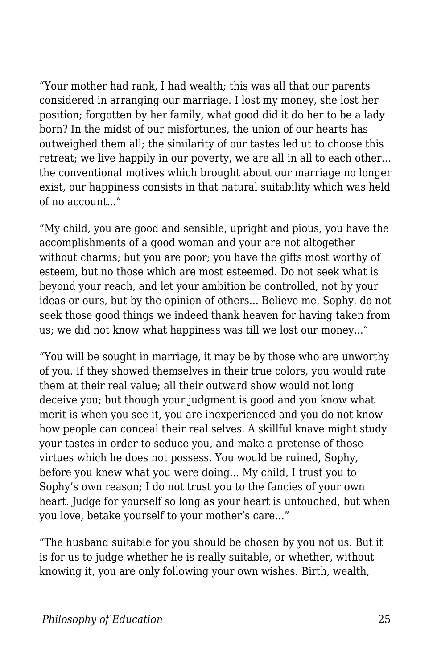"Your mother had rank, I had wealth; this was all that our parents considered in arranging our marriage. I lost my money, she lost her position; forgotten by her family, what good did it do her to be a lady born? In the midst of our misfortunes, the union of our hearts has outweighed them all; the similarity of our tastes led ut to choose this retreat; we live happily in our poverty, we are all in all to each other... the conventional motives which brought about our marriage no longer exist, our happiness consists in that natural suitability which was held of no account..."

"My child, you are good and sensible, upright and pious, you have the accomplishments of a good woman and your are not altogether without charms; but you are poor; you have the gifts most worthy of esteem, but no those which are most esteemed. Do not seek what is beyond your reach, and let your ambition be controlled, not by your ideas or ours, but by the opinion of others... Believe me, Sophy, do not seek those good things we indeed thank heaven for having taken from us; we did not know what happiness was till we lost our money..."

"You will be sought in marriage, it may be by those who are unworthy of you. If they showed themselves in their true colors, you would rate them at their real value; all their outward show would not long deceive you; but though your judgment is good and you know what merit is when you see it, you are inexperienced and you do not know how people can conceal their real selves. A skillful knave might study your tastes in order to seduce you, and make a pretense of those virtues which he does not possess. You would be ruined, Sophy, before you knew what you were doing... My child, I trust you to Sophy's own reason; I do not trust you to the fancies of your own heart. Judge for yourself so long as your heart is untouched, but when you love, betake yourself to your mother's care..."

"The husband suitable for you should be chosen by you not us. But it is for us to judge whether he is really suitable, or whether, without knowing it, you are only following your own wishes. Birth, wealth,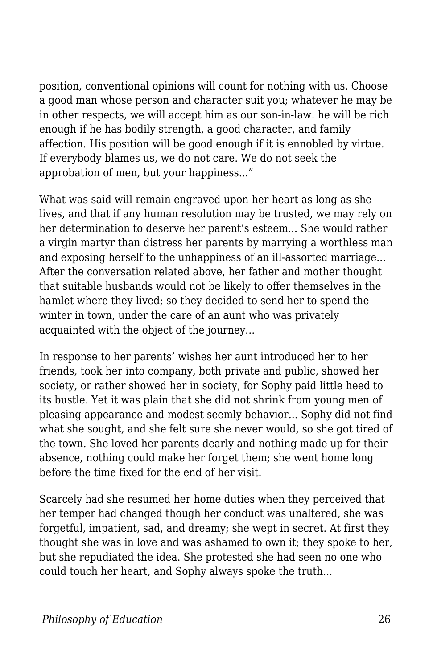position, conventional opinions will count for nothing with us. Choose a good man whose person and character suit you; whatever he may be in other respects, we will accept him as our son-in-law. he will be rich enough if he has bodily strength, a good character, and family affection. His position will be good enough if it is ennobled by virtue. If everybody blames us, we do not care. We do not seek the approbation of men, but your happiness..."

What was said will remain engraved upon her heart as long as she lives, and that if any human resolution may be trusted, we may rely on her determination to deserve her parent's esteem... She would rather a virgin martyr than distress her parents by marrying a worthless man and exposing herself to the unhappiness of an ill-assorted marriage... After the conversation related above, her father and mother thought that suitable husbands would not be likely to offer themselves in the hamlet where they lived; so they decided to send her to spend the winter in town, under the care of an aunt who was privately acquainted with the object of the journey...

In response to her parents' wishes her aunt introduced her to her friends, took her into company, both private and public, showed her society, or rather showed her in society, for Sophy paid little heed to its bustle. Yet it was plain that she did not shrink from young men of pleasing appearance and modest seemly behavior... Sophy did not find what she sought, and she felt sure she never would, so she got tired of the town. She loved her parents dearly and nothing made up for their absence, nothing could make her forget them; she went home long before the time fixed for the end of her visit.

Scarcely had she resumed her home duties when they perceived that her temper had changed though her conduct was unaltered, she was forgetful, impatient, sad, and dreamy; she wept in secret. At first they thought she was in love and was ashamed to own it; they spoke to her, but she repudiated the idea. She protested she had seen no one who could touch her heart, and Sophy always spoke the truth...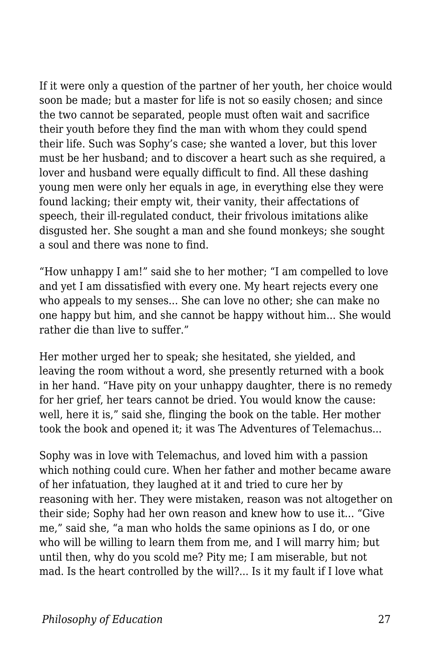If it were only a question of the partner of her youth, her choice would soon be made; but a master for life is not so easily chosen; and since the two cannot be separated, people must often wait and sacrifice their youth before they find the man with whom they could spend their life. Such was Sophy's case; she wanted a lover, but this lover must be her husband; and to discover a heart such as she required, a lover and husband were equally difficult to find. All these dashing young men were only her equals in age, in everything else they were found lacking; their empty wit, their vanity, their affectations of speech, their ill-regulated conduct, their frivolous imitations alike disgusted her. She sought a man and she found monkeys; she sought a soul and there was none to find.

"How unhappy I am!" said she to her mother; "I am compelled to love and yet I am dissatisfied with every one. My heart rejects every one who appeals to my senses... She can love no other; she can make no one happy but him, and she cannot be happy without him... She would rather die than live to suffer."

Her mother urged her to speak; she hesitated, she yielded, and leaving the room without a word, she presently returned with a book in her hand. "Have pity on your unhappy daughter, there is no remedy for her grief, her tears cannot be dried. You would know the cause: well, here it is," said she, flinging the book on the table. Her mother took the book and opened it; it was The Adventures of Telemachus...

Sophy was in love with Telemachus, and loved him with a passion which nothing could cure. When her father and mother became aware of her infatuation, they laughed at it and tried to cure her by reasoning with her. They were mistaken, reason was not altogether on their side; Sophy had her own reason and knew how to use it... "Give me," said she, "a man who holds the same opinions as I do, or one who will be willing to learn them from me, and I will marry him; but until then, why do you scold me? Pity me; I am miserable, but not mad. Is the heart controlled by the will?... Is it my fault if I love what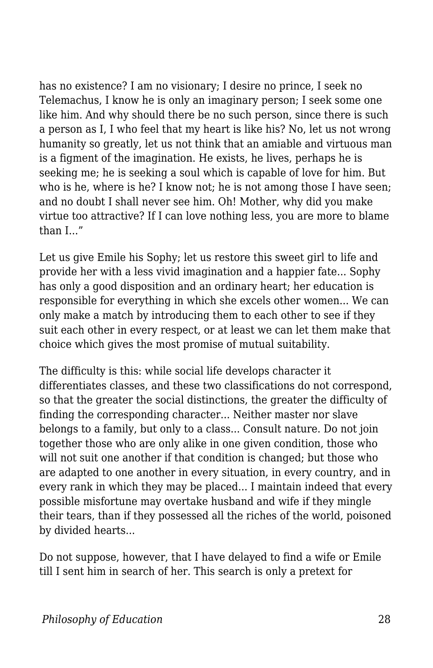has no existence? I am no visionary; I desire no prince, I seek no Telemachus, I know he is only an imaginary person; I seek some one like him. And why should there be no such person, since there is such a person as I, I who feel that my heart is like his? No, let us not wrong humanity so greatly, let us not think that an amiable and virtuous man is a figment of the imagination. He exists, he lives, perhaps he is seeking me; he is seeking a soul which is capable of love for him. But who is he, where is he? I know not; he is not among those I have seen; and no doubt I shall never see him. Oh! Mother, why did you make virtue too attractive? If I can love nothing less, you are more to blame than  $I''$ 

Let us give Emile his Sophy; let us restore this sweet girl to life and provide her with a less vivid imagination and a happier fate... Sophy has only a good disposition and an ordinary heart; her education is responsible for everything in which she excels other women... We can only make a match by introducing them to each other to see if they suit each other in every respect, or at least we can let them make that choice which gives the most promise of mutual suitability.

The difficulty is this: while social life develops character it differentiates classes, and these two classifications do not correspond, so that the greater the social distinctions, the greater the difficulty of finding the corresponding character... Neither master nor slave belongs to a family, but only to a class... Consult nature. Do not join together those who are only alike in one given condition, those who will not suit one another if that condition is changed; but those who are adapted to one another in every situation, in every country, and in every rank in which they may be placed... I maintain indeed that every possible misfortune may overtake husband and wife if they mingle their tears, than if they possessed all the riches of the world, poisoned by divided hearts...

Do not suppose, however, that I have delayed to find a wife or Emile till I sent him in search of her. This search is only a pretext for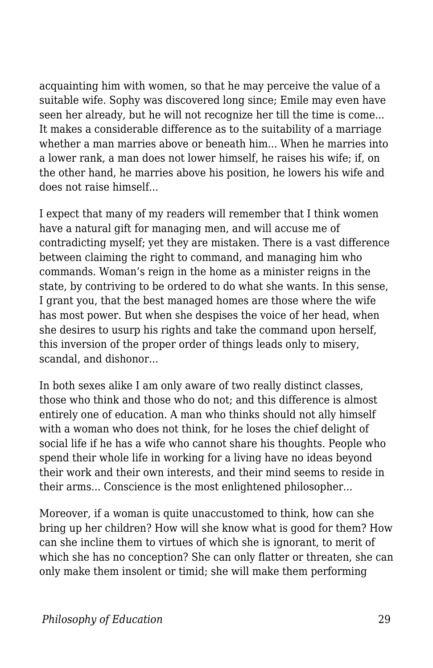acquainting him with women, so that he may perceive the value of a suitable wife. Sophy was discovered long since; Emile may even have seen her already, but he will not recognize her till the time is come... It makes a considerable difference as to the suitability of a marriage whether a man marries above or beneath him... When he marries into a lower rank, a man does not lower himself, he raises his wife; if, on the other hand, he marries above his position, he lowers his wife and does not raise himself...

I expect that many of my readers will remember that I think women have a natural gift for managing men, and will accuse me of contradicting myself; yet they are mistaken. There is a vast difference between claiming the right to command, and managing him who commands. Woman's reign in the home as a minister reigns in the state, by contriving to be ordered to do what she wants. In this sense, I grant you, that the best managed homes are those where the wife has most power. But when she despises the voice of her head, when she desires to usurp his rights and take the command upon herself, this inversion of the proper order of things leads only to misery, scandal, and dishonor...

In both sexes alike I am only aware of two really distinct classes, those who think and those who do not; and this difference is almost entirely one of education. A man who thinks should not ally himself with a woman who does not think, for he loses the chief delight of social life if he has a wife who cannot share his thoughts. People who spend their whole life in working for a living have no ideas beyond their work and their own interests, and their mind seems to reside in their arms... Conscience is the most enlightened philosopher...

Moreover, if a woman is quite unaccustomed to think, how can she bring up her children? How will she know what is good for them? How can she incline them to virtues of which she is ignorant, to merit of which she has no conception? She can only flatter or threaten, she can only make them insolent or timid; she will make them performing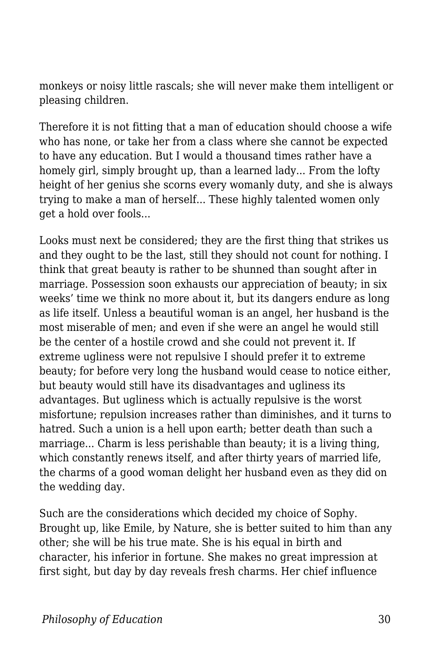monkeys or noisy little rascals; she will never make them intelligent or pleasing children.

Therefore it is not fitting that a man of education should choose a wife who has none, or take her from a class where she cannot be expected to have any education. But I would a thousand times rather have a homely girl, simply brought up, than a learned lady... From the lofty height of her genius she scorns every womanly duty, and she is always trying to make a man of herself... These highly talented women only get a hold over fools...

Looks must next be considered; they are the first thing that strikes us and they ought to be the last, still they should not count for nothing. I think that great beauty is rather to be shunned than sought after in marriage. Possession soon exhausts our appreciation of beauty; in six weeks' time we think no more about it, but its dangers endure as long as life itself. Unless a beautiful woman is an angel, her husband is the most miserable of men; and even if she were an angel he would still be the center of a hostile crowd and she could not prevent it. If extreme ugliness were not repulsive I should prefer it to extreme beauty; for before very long the husband would cease to notice either, but beauty would still have its disadvantages and ugliness its advantages. But ugliness which is actually repulsive is the worst misfortune; repulsion increases rather than diminishes, and it turns to hatred. Such a union is a hell upon earth; better death than such a marriage... Charm is less perishable than beauty; it is a living thing, which constantly renews itself, and after thirty years of married life, the charms of a good woman delight her husband even as they did on the wedding day.

Such are the considerations which decided my choice of Sophy. Brought up, like Emile, by Nature, she is better suited to him than any other; she will be his true mate. She is his equal in birth and character, his inferior in fortune. She makes no great impression at first sight, but day by day reveals fresh charms. Her chief influence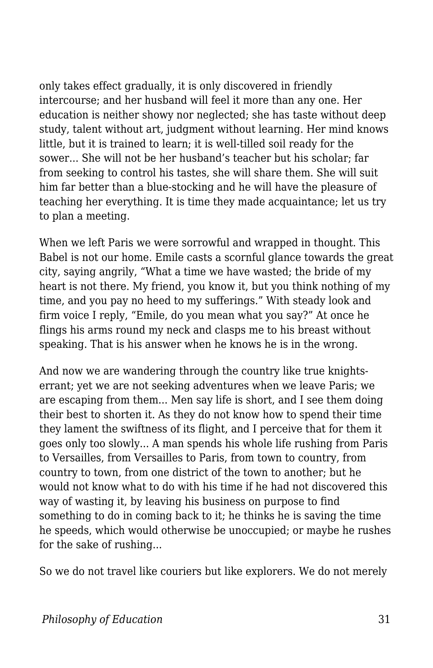only takes effect gradually, it is only discovered in friendly intercourse; and her husband will feel it more than any one. Her education is neither showy nor neglected; she has taste without deep study, talent without art, judgment without learning. Her mind knows little, but it is trained to learn; it is well-tilled soil ready for the sower... She will not be her husband's teacher but his scholar; far from seeking to control his tastes, she will share them. She will suit him far better than a blue-stocking and he will have the pleasure of teaching her everything. It is time they made acquaintance; let us try to plan a meeting.

When we left Paris we were sorrowful and wrapped in thought. This Babel is not our home. Emile casts a scornful glance towards the great city, saying angrily, "What a time we have wasted; the bride of my heart is not there. My friend, you know it, but you think nothing of my time, and you pay no heed to my sufferings." With steady look and firm voice I reply, "Emile, do you mean what you say?" At once he flings his arms round my neck and clasps me to his breast without speaking. That is his answer when he knows he is in the wrong.

And now we are wandering through the country like true knightserrant; yet we are not seeking adventures when we leave Paris; we are escaping from them... Men say life is short, and I see them doing their best to shorten it. As they do not know how to spend their time they lament the swiftness of its flight, and I perceive that for them it goes only too slowly... A man spends his whole life rushing from Paris to Versailles, from Versailles to Paris, from town to country, from country to town, from one district of the town to another; but he would not know what to do with his time if he had not discovered this way of wasting it, by leaving his business on purpose to find something to do in coming back to it; he thinks he is saving the time he speeds, which would otherwise be unoccupied; or maybe he rushes for the sake of rushing...

So we do not travel like couriers but like explorers. We do not merely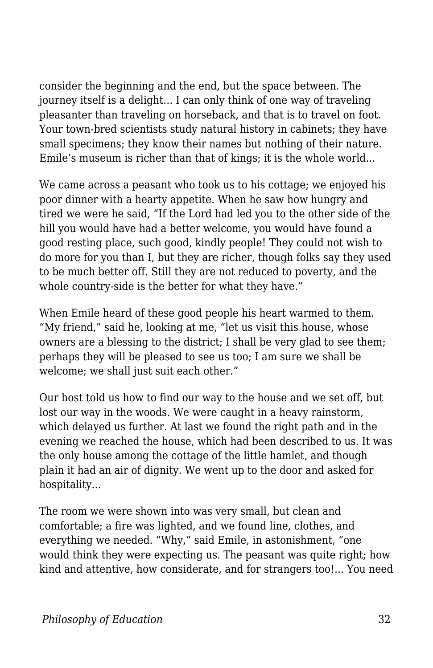consider the beginning and the end, but the space between. The journey itself is a delight... I can only think of one way of traveling pleasanter than traveling on horseback, and that is to travel on foot. Your town-bred scientists study natural history in cabinets; they have small specimens; they know their names but nothing of their nature. Emile's museum is richer than that of kings; it is the whole world...

We came across a peasant who took us to his cottage; we enjoyed his poor dinner with a hearty appetite. When he saw how hungry and tired we were he said, "If the Lord had led you to the other side of the hill you would have had a better welcome, you would have found a good resting place, such good, kindly people! They could not wish to do more for you than I, but they are richer, though folks say they used to be much better off. Still they are not reduced to poverty, and the whole country-side is the better for what they have."

When Emile heard of these good people his heart warmed to them. "My friend," said he, looking at me, "let us visit this house, whose owners are a blessing to the district; I shall be very glad to see them; perhaps they will be pleased to see us too; I am sure we shall be welcome; we shall just suit each other."

Our host told us how to find our way to the house and we set off, but lost our way in the woods. We were caught in a heavy rainstorm, which delayed us further. At last we found the right path and in the evening we reached the house, which had been described to us. It was the only house among the cottage of the little hamlet, and though plain it had an air of dignity. We went up to the door and asked for hospitality...

The room we were shown into was very small, but clean and comfortable; a fire was lighted, and we found line, clothes, and everything we needed. "Why," said Emile, in astonishment, "one would think they were expecting us. The peasant was quite right; how kind and attentive, how considerate, and for strangers too!... You need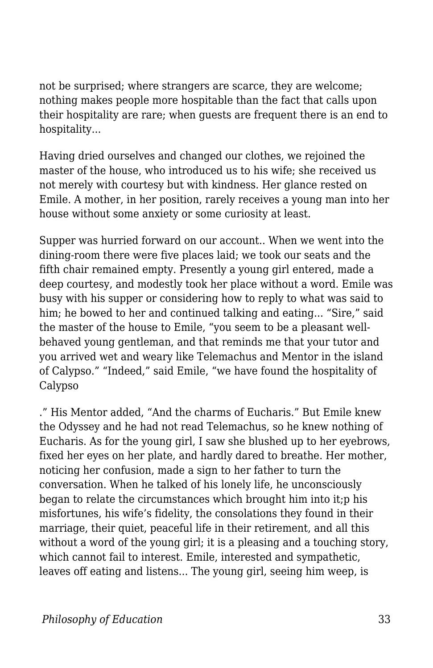not be surprised; where strangers are scarce, they are welcome; nothing makes people more hospitable than the fact that calls upon their hospitality are rare; when guests are frequent there is an end to hospitality...

Having dried ourselves and changed our clothes, we rejoined the master of the house, who introduced us to his wife; she received us not merely with courtesy but with kindness. Her glance rested on Emile. A mother, in her position, rarely receives a young man into her house without some anxiety or some curiosity at least.

Supper was hurried forward on our account.. When we went into the dining-room there were five places laid; we took our seats and the fifth chair remained empty. Presently a young girl entered, made a deep courtesy, and modestly took her place without a word. Emile was busy with his supper or considering how to reply to what was said to him; he bowed to her and continued talking and eating... "Sire," said the master of the house to Emile, "you seem to be a pleasant wellbehaved young gentleman, and that reminds me that your tutor and you arrived wet and weary like Telemachus and Mentor in the island of Calypso." "Indeed," said Emile, "we have found the hospitality of Calypso

." His Mentor added, "And the charms of Eucharis." But Emile knew the Odyssey and he had not read Telemachus, so he knew nothing of Eucharis. As for the young girl, I saw she blushed up to her eyebrows, fixed her eyes on her plate, and hardly dared to breathe. Her mother, noticing her confusion, made a sign to her father to turn the conversation. When he talked of his lonely life, he unconsciously began to relate the circumstances which brought him into it;p his misfortunes, his wife's fidelity, the consolations they found in their marriage, their quiet, peaceful life in their retirement, and all this without a word of the young girl; it is a pleasing and a touching story, which cannot fail to interest. Emile, interested and sympathetic, leaves off eating and listens... The young girl, seeing him weep, is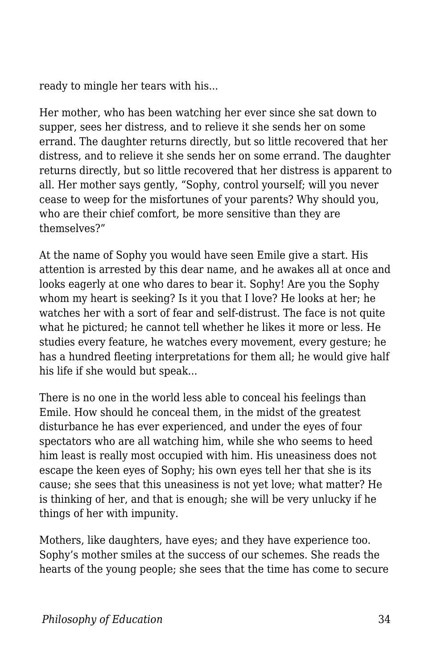ready to mingle her tears with his...

Her mother, who has been watching her ever since she sat down to supper, sees her distress, and to relieve it she sends her on some errand. The daughter returns directly, but so little recovered that her distress, and to relieve it she sends her on some errand. The daughter returns directly, but so little recovered that her distress is apparent to all. Her mother says gently, "Sophy, control yourself; will you never cease to weep for the misfortunes of your parents? Why should you, who are their chief comfort, be more sensitive than they are themselves?"

At the name of Sophy you would have seen Emile give a start. His attention is arrested by this dear name, and he awakes all at once and looks eagerly at one who dares to bear it. Sophy! Are you the Sophy whom my heart is seeking? Is it you that I love? He looks at her; he watches her with a sort of fear and self-distrust. The face is not quite what he pictured; he cannot tell whether he likes it more or less. He studies every feature, he watches every movement, every gesture; he has a hundred fleeting interpretations for them all; he would give half his life if she would but speak...

There is no one in the world less able to conceal his feelings than Emile. How should he conceal them, in the midst of the greatest disturbance he has ever experienced, and under the eyes of four spectators who are all watching him, while she who seems to heed him least is really most occupied with him. His uneasiness does not escape the keen eyes of Sophy; his own eyes tell her that she is its cause; she sees that this uneasiness is not yet love; what matter? He is thinking of her, and that is enough; she will be very unlucky if he things of her with impunity.

Mothers, like daughters, have eyes; and they have experience too. Sophy's mother smiles at the success of our schemes. She reads the hearts of the young people; she sees that the time has come to secure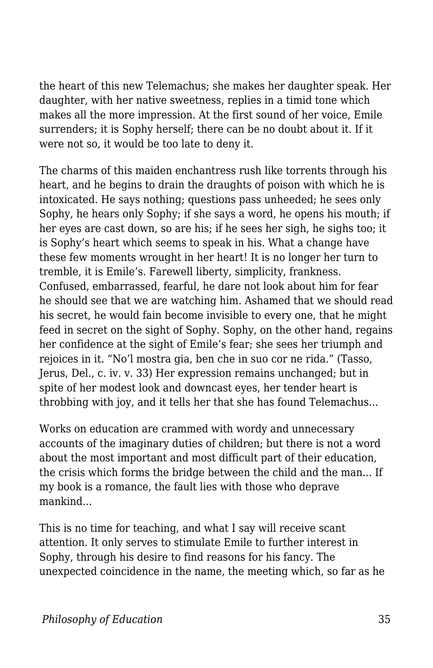the heart of this new Telemachus; she makes her daughter speak. Her daughter, with her native sweetness, replies in a timid tone which makes all the more impression. At the first sound of her voice, Emile surrenders; it is Sophy herself; there can be no doubt about it. If it were not so, it would be too late to deny it.

The charms of this maiden enchantress rush like torrents through his heart, and he begins to drain the draughts of poison with which he is intoxicated. He says nothing; questions pass unheeded; he sees only Sophy, he hears only Sophy; if she says a word, he opens his mouth; if her eyes are cast down, so are his; if he sees her sigh, he sighs too; it is Sophy's heart which seems to speak in his. What a change have these few moments wrought in her heart! It is no longer her turn to tremble, it is Emile's. Farewell liberty, simplicity, frankness. Confused, embarrassed, fearful, he dare not look about him for fear he should see that we are watching him. Ashamed that we should read his secret, he would fain become invisible to every one, that he might feed in secret on the sight of Sophy. Sophy, on the other hand, regains her confidence at the sight of Emile's fear; she sees her triumph and rejoices in it. "No'l mostra gia, ben che in suo cor ne rida." (Tasso, Jerus, Del., c. iv. v. 33) Her expression remains unchanged; but in spite of her modest look and downcast eyes, her tender heart is throbbing with joy, and it tells her that she has found Telemachus...

Works on education are crammed with wordy and unnecessary accounts of the imaginary duties of children; but there is not a word about the most important and most difficult part of their education, the crisis which forms the bridge between the child and the man... If my book is a romance, the fault lies with those who deprave mankind...

This is no time for teaching, and what I say will receive scant attention. It only serves to stimulate Emile to further interest in Sophy, through his desire to find reasons for his fancy. The unexpected coincidence in the name, the meeting which, so far as he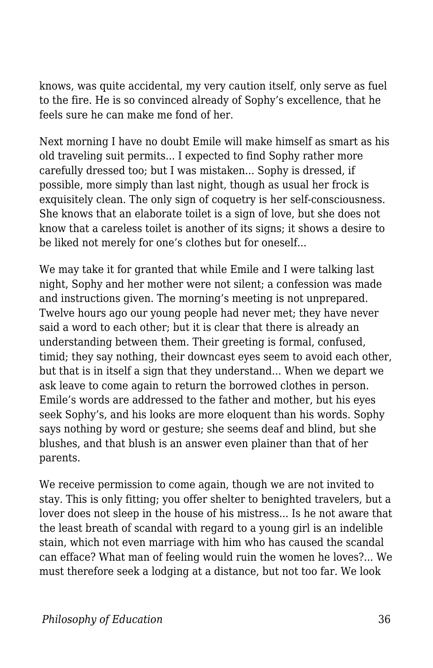knows, was quite accidental, my very caution itself, only serve as fuel to the fire. He is so convinced already of Sophy's excellence, that he feels sure he can make me fond of her.

Next morning I have no doubt Emile will make himself as smart as his old traveling suit permits... I expected to find Sophy rather more carefully dressed too; but I was mistaken... Sophy is dressed, if possible, more simply than last night, though as usual her frock is exquisitely clean. The only sign of coquetry is her self-consciousness. She knows that an elaborate toilet is a sign of love, but she does not know that a careless toilet is another of its signs; it shows a desire to be liked not merely for one's clothes but for oneself...

We may take it for granted that while Emile and I were talking last night, Sophy and her mother were not silent; a confession was made and instructions given. The morning's meeting is not unprepared. Twelve hours ago our young people had never met; they have never said a word to each other; but it is clear that there is already an understanding between them. Their greeting is formal, confused, timid; they say nothing, their downcast eyes seem to avoid each other, but that is in itself a sign that they understand... When we depart we ask leave to come again to return the borrowed clothes in person. Emile's words are addressed to the father and mother, but his eyes seek Sophy's, and his looks are more eloquent than his words. Sophy says nothing by word or gesture; she seems deaf and blind, but she blushes, and that blush is an answer even plainer than that of her parents.

We receive permission to come again, though we are not invited to stay. This is only fitting; you offer shelter to benighted travelers, but a lover does not sleep in the house of his mistress... Is he not aware that the least breath of scandal with regard to a young girl is an indelible stain, which not even marriage with him who has caused the scandal can efface? What man of feeling would ruin the women he loves?... We must therefore seek a lodging at a distance, but not too far. We look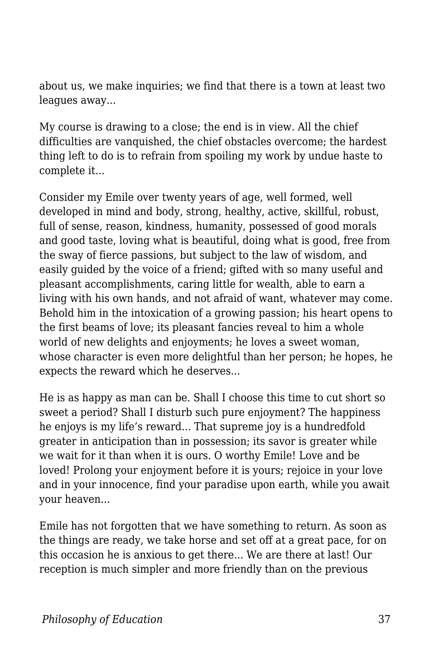about us, we make inquiries; we find that there is a town at least two leagues away...

My course is drawing to a close; the end is in view. All the chief difficulties are vanquished, the chief obstacles overcome; the hardest thing left to do is to refrain from spoiling my work by undue haste to complete it...

Consider my Emile over twenty years of age, well formed, well developed in mind and body, strong, healthy, active, skillful, robust, full of sense, reason, kindness, humanity, possessed of good morals and good taste, loving what is beautiful, doing what is good, free from the sway of fierce passions, but subject to the law of wisdom, and easily guided by the voice of a friend; gifted with so many useful and pleasant accomplishments, caring little for wealth, able to earn a living with his own hands, and not afraid of want, whatever may come. Behold him in the intoxication of a growing passion; his heart opens to the first beams of love; its pleasant fancies reveal to him a whole world of new delights and enjoyments; he loves a sweet woman, whose character is even more delightful than her person; he hopes, he expects the reward which he deserves...

He is as happy as man can be. Shall I choose this time to cut short so sweet a period? Shall I disturb such pure enjoyment? The happiness he enjoys is my life's reward... That supreme joy is a hundredfold greater in anticipation than in possession; its savor is greater while we wait for it than when it is ours. O worthy Emile! Love and be loved! Prolong your enjoyment before it is yours; rejoice in your love and in your innocence, find your paradise upon earth, while you await your heaven...

Emile has not forgotten that we have something to return. As soon as the things are ready, we take horse and set off at a great pace, for on this occasion he is anxious to get there... We are there at last! Our reception is much simpler and more friendly than on the previous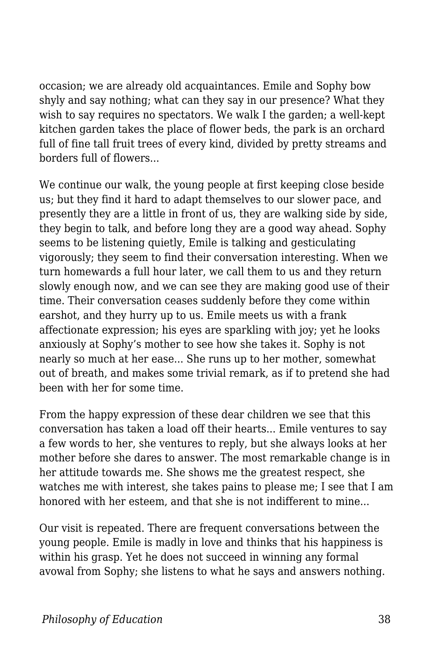occasion; we are already old acquaintances. Emile and Sophy bow shyly and say nothing; what can they say in our presence? What they wish to say requires no spectators. We walk I the garden; a well-kept kitchen garden takes the place of flower beds, the park is an orchard full of fine tall fruit trees of every kind, divided by pretty streams and borders full of flowers...

We continue our walk, the young people at first keeping close beside us; but they find it hard to adapt themselves to our slower pace, and presently they are a little in front of us, they are walking side by side, they begin to talk, and before long they are a good way ahead. Sophy seems to be listening quietly, Emile is talking and gesticulating vigorously; they seem to find their conversation interesting. When we turn homewards a full hour later, we call them to us and they return slowly enough now, and we can see they are making good use of their time. Their conversation ceases suddenly before they come within earshot, and they hurry up to us. Emile meets us with a frank affectionate expression; his eyes are sparkling with joy; yet he looks anxiously at Sophy's mother to see how she takes it. Sophy is not nearly so much at her ease... She runs up to her mother, somewhat out of breath, and makes some trivial remark, as if to pretend she had been with her for some time.

From the happy expression of these dear children we see that this conversation has taken a load off their hearts... Emile ventures to say a few words to her, she ventures to reply, but she always looks at her mother before she dares to answer. The most remarkable change is in her attitude towards me. She shows me the greatest respect, she watches me with interest, she takes pains to please me; I see that I am honored with her esteem, and that she is not indifferent to mine...

Our visit is repeated. There are frequent conversations between the young people. Emile is madly in love and thinks that his happiness is within his grasp. Yet he does not succeed in winning any formal avowal from Sophy; she listens to what he says and answers nothing.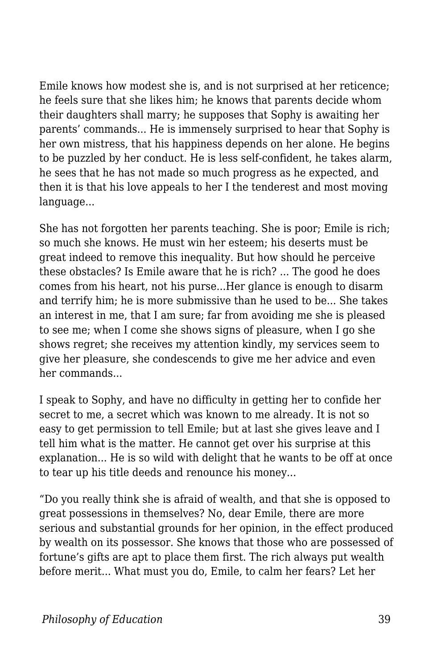Emile knows how modest she is, and is not surprised at her reticence; he feels sure that she likes him; he knows that parents decide whom their daughters shall marry; he supposes that Sophy is awaiting her parents' commands... He is immensely surprised to hear that Sophy is her own mistress, that his happiness depends on her alone. He begins to be puzzled by her conduct. He is less self-confident, he takes alarm, he sees that he has not made so much progress as he expected, and then it is that his love appeals to her I the tenderest and most moving language...

She has not forgotten her parents teaching. She is poor; Emile is rich; so much she knows. He must win her esteem; his deserts must be great indeed to remove this inequality. But how should he perceive these obstacles? Is Emile aware that he is rich? ... The good he does comes from his heart, not his purse...Her glance is enough to disarm and terrify him; he is more submissive than he used to be... She takes an interest in me, that I am sure; far from avoiding me she is pleased to see me; when I come she shows signs of pleasure, when I go she shows regret; she receives my attention kindly, my services seem to give her pleasure, she condescends to give me her advice and even her commands...

I speak to Sophy, and have no difficulty in getting her to confide her secret to me, a secret which was known to me already. It is not so easy to get permission to tell Emile; but at last she gives leave and I tell him what is the matter. He cannot get over his surprise at this explanation... He is so wild with delight that he wants to be off at once to tear up his title deeds and renounce his money...

"Do you really think she is afraid of wealth, and that she is opposed to great possessions in themselves? No, dear Emile, there are more serious and substantial grounds for her opinion, in the effect produced by wealth on its possessor. She knows that those who are possessed of fortune's gifts are apt to place them first. The rich always put wealth before merit... What must you do, Emile, to calm her fears? Let her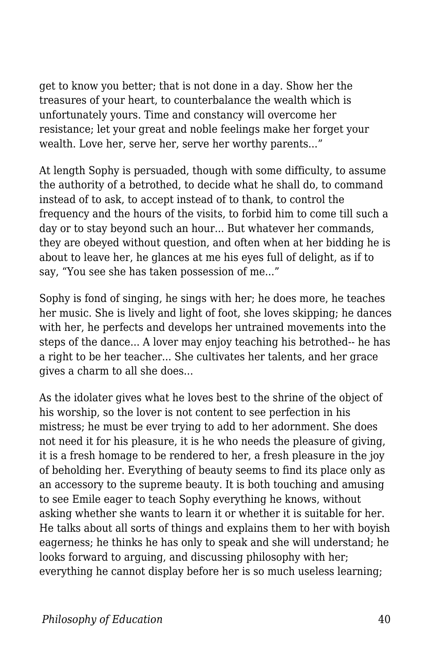get to know you better; that is not done in a day. Show her the treasures of your heart, to counterbalance the wealth which is unfortunately yours. Time and constancy will overcome her resistance; let your great and noble feelings make her forget your wealth. Love her, serve her, serve her worthy parents..."

At length Sophy is persuaded, though with some difficulty, to assume the authority of a betrothed, to decide what he shall do, to command instead of to ask, to accept instead of to thank, to control the frequency and the hours of the visits, to forbid him to come till such a day or to stay beyond such an hour... But whatever her commands, they are obeyed without question, and often when at her bidding he is about to leave her, he glances at me his eyes full of delight, as if to say, "You see she has taken possession of me..."

Sophy is fond of singing, he sings with her; he does more, he teaches her music. She is lively and light of foot, she loves skipping; he dances with her, he perfects and develops her untrained movements into the steps of the dance... A lover may enjoy teaching his betrothed-- he has a right to be her teacher... She cultivates her talents, and her grace gives a charm to all she does...

As the idolater gives what he loves best to the shrine of the object of his worship, so the lover is not content to see perfection in his mistress; he must be ever trying to add to her adornment. She does not need it for his pleasure, it is he who needs the pleasure of giving, it is a fresh homage to be rendered to her, a fresh pleasure in the joy of beholding her. Everything of beauty seems to find its place only as an accessory to the supreme beauty. It is both touching and amusing to see Emile eager to teach Sophy everything he knows, without asking whether she wants to learn it or whether it is suitable for her. He talks about all sorts of things and explains them to her with boyish eagerness; he thinks he has only to speak and she will understand; he looks forward to arguing, and discussing philosophy with her; everything he cannot display before her is so much useless learning;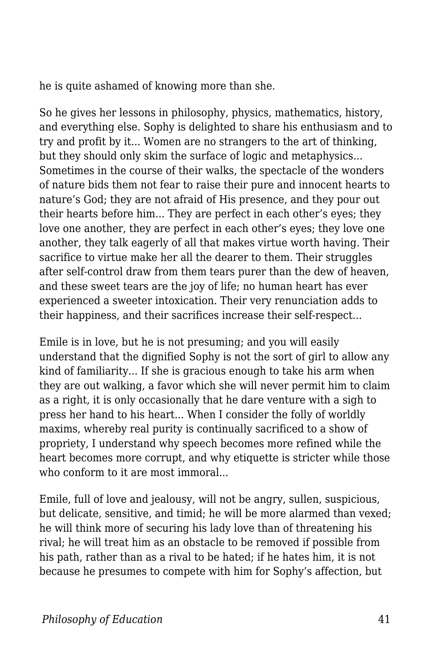he is quite ashamed of knowing more than she.

So he gives her lessons in philosophy, physics, mathematics, history, and everything else. Sophy is delighted to share his enthusiasm and to try and profit by it... Women are no strangers to the art of thinking, but they should only skim the surface of logic and metaphysics... Sometimes in the course of their walks, the spectacle of the wonders of nature bids them not fear to raise their pure and innocent hearts to nature's God; they are not afraid of His presence, and they pour out their hearts before him... They are perfect in each other's eyes; they love one another, they are perfect in each other's eyes; they love one another, they talk eagerly of all that makes virtue worth having. Their sacrifice to virtue make her all the dearer to them. Their struggles after self-control draw from them tears purer than the dew of heaven, and these sweet tears are the joy of life; no human heart has ever experienced a sweeter intoxication. Their very renunciation adds to their happiness, and their sacrifices increase their self-respect...

Emile is in love, but he is not presuming; and you will easily understand that the dignified Sophy is not the sort of girl to allow any kind of familiarity... If she is gracious enough to take his arm when they are out walking, a favor which she will never permit him to claim as a right, it is only occasionally that he dare venture with a sigh to press her hand to his heart... When I consider the folly of worldly maxims, whereby real purity is continually sacrificed to a show of propriety, I understand why speech becomes more refined while the heart becomes more corrupt, and why etiquette is stricter while those who conform to it are most immoral...

Emile, full of love and jealousy, will not be angry, sullen, suspicious, but delicate, sensitive, and timid; he will be more alarmed than vexed; he will think more of securing his lady love than of threatening his rival; he will treat him as an obstacle to be removed if possible from his path, rather than as a rival to be hated; if he hates him, it is not because he presumes to compete with him for Sophy's affection, but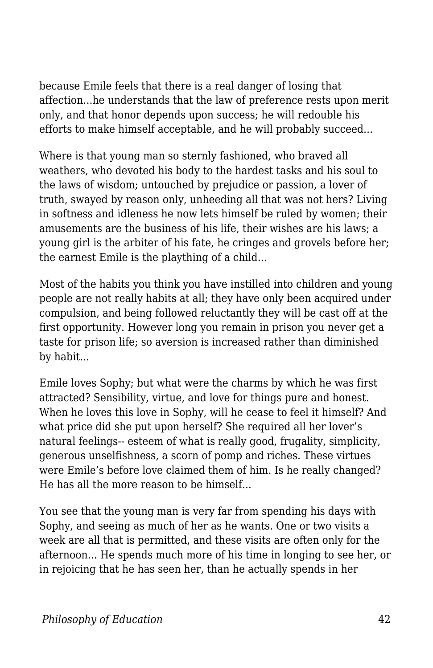because Emile feels that there is a real danger of losing that affection...he understands that the law of preference rests upon merit only, and that honor depends upon success; he will redouble his efforts to make himself acceptable, and he will probably succeed...

Where is that young man so sternly fashioned, who braved all weathers, who devoted his body to the hardest tasks and his soul to the laws of wisdom; untouched by prejudice or passion, a lover of truth, swayed by reason only, unheeding all that was not hers? Living in softness and idleness he now lets himself be ruled by women; their amusements are the business of his life, their wishes are his laws; a young girl is the arbiter of his fate, he cringes and grovels before her; the earnest Emile is the plaything of a child...

Most of the habits you think you have instilled into children and young people are not really habits at all; they have only been acquired under compulsion, and being followed reluctantly they will be cast off at the first opportunity. However long you remain in prison you never get a taste for prison life; so aversion is increased rather than diminished by habit...

Emile loves Sophy; but what were the charms by which he was first attracted? Sensibility, virtue, and love for things pure and honest. When he loves this love in Sophy, will he cease to feel it himself? And what price did she put upon herself? She required all her lover's natural feelings-- esteem of what is really good, frugality, simplicity, generous unselfishness, a scorn of pomp and riches. These virtues were Emile's before love claimed them of him. Is he really changed? He has all the more reason to be himself...

You see that the young man is very far from spending his days with Sophy, and seeing as much of her as he wants. One or two visits a week are all that is permitted, and these visits are often only for the afternoon... He spends much more of his time in longing to see her, or in rejoicing that he has seen her, than he actually spends in her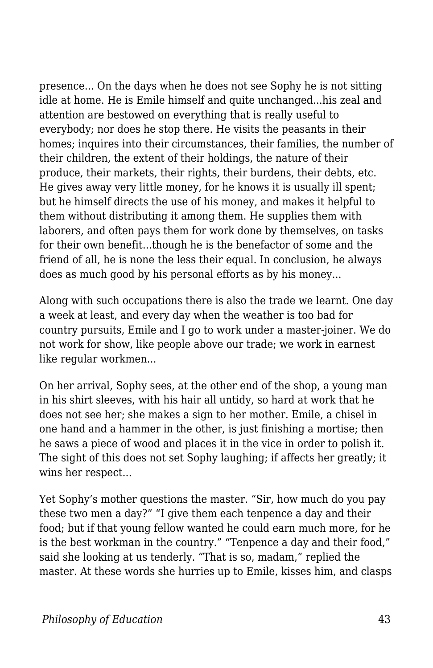presence... On the days when he does not see Sophy he is not sitting idle at home. He is Emile himself and quite unchanged...his zeal and attention are bestowed on everything that is really useful to everybody; nor does he stop there. He visits the peasants in their homes; inquires into their circumstances, their families, the number of their children, the extent of their holdings, the nature of their produce, their markets, their rights, their burdens, their debts, etc. He gives away very little money, for he knows it is usually ill spent; but he himself directs the use of his money, and makes it helpful to them without distributing it among them. He supplies them with laborers, and often pays them for work done by themselves, on tasks for their own benefit...though he is the benefactor of some and the friend of all, he is none the less their equal. In conclusion, he always does as much good by his personal efforts as by his money...

Along with such occupations there is also the trade we learnt. One day a week at least, and every day when the weather is too bad for country pursuits, Emile and I go to work under a master-joiner. We do not work for show, like people above our trade; we work in earnest like regular workmen...

On her arrival, Sophy sees, at the other end of the shop, a young man in his shirt sleeves, with his hair all untidy, so hard at work that he does not see her; she makes a sign to her mother. Emile, a chisel in one hand and a hammer in the other, is just finishing a mortise; then he saws a piece of wood and places it in the vice in order to polish it. The sight of this does not set Sophy laughing; if affects her greatly; it wins her respect...

Yet Sophy's mother questions the master. "Sir, how much do you pay these two men a day?" "I give them each tenpence a day and their food; but if that young fellow wanted he could earn much more, for he is the best workman in the country." "Tenpence a day and their food," said she looking at us tenderly. "That is so, madam," replied the master. At these words she hurries up to Emile, kisses him, and clasps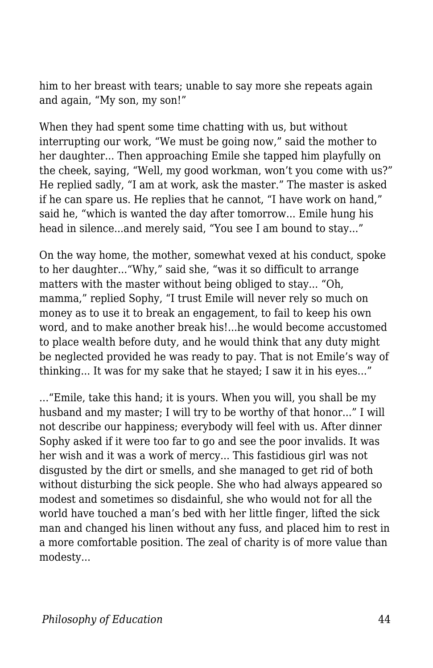him to her breast with tears; unable to say more she repeats again and again, "My son, my son!"

When they had spent some time chatting with us, but without interrupting our work, "We must be going now," said the mother to her daughter... Then approaching Emile she tapped him playfully on the cheek, saying, "Well, my good workman, won't you come with us?" He replied sadly, "I am at work, ask the master." The master is asked if he can spare us. He replies that he cannot, "I have work on hand," said he, "which is wanted the day after tomorrow... Emile hung his head in silence...and merely said, "You see I am bound to stay..."

On the way home, the mother, somewhat vexed at his conduct, spoke to her daughter..."Why," said she, "was it so difficult to arrange matters with the master without being obliged to stay... "Oh, mamma," replied Sophy, "I trust Emile will never rely so much on money as to use it to break an engagement, to fail to keep his own word, and to make another break his!...he would become accustomed to place wealth before duty, and he would think that any duty might be neglected provided he was ready to pay. That is not Emile's way of thinking... It was for my sake that he stayed; I saw it in his eyes..."

..."Emile, take this hand; it is yours. When you will, you shall be my husband and my master; I will try to be worthy of that honor..." I will not describe our happiness; everybody will feel with us. After dinner Sophy asked if it were too far to go and see the poor invalids. It was her wish and it was a work of mercy... This fastidious girl was not disgusted by the dirt or smells, and she managed to get rid of both without disturbing the sick people. She who had always appeared so modest and sometimes so disdainful, she who would not for all the world have touched a man's bed with her little finger, lifted the sick man and changed his linen without any fuss, and placed him to rest in a more comfortable position. The zeal of charity is of more value than modesty...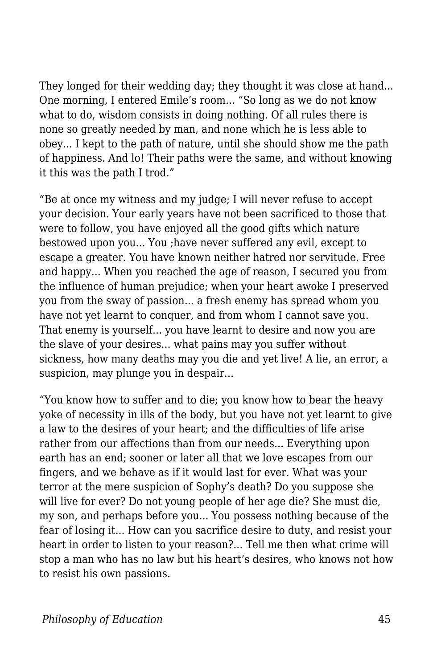They longed for their wedding day; they thought it was close at hand... One morning, I entered Emile's room... "So long as we do not know what to do, wisdom consists in doing nothing. Of all rules there is none so greatly needed by man, and none which he is less able to obey... I kept to the path of nature, until she should show me the path of happiness. And lo! Their paths were the same, and without knowing it this was the path I trod."

"Be at once my witness and my judge; I will never refuse to accept your decision. Your early years have not been sacrificed to those that were to follow, you have enjoyed all the good gifts which nature bestowed upon you... You ;have never suffered any evil, except to escape a greater. You have known neither hatred nor servitude. Free and happy... When you reached the age of reason, I secured you from the influence of human prejudice; when your heart awoke I preserved you from the sway of passion... a fresh enemy has spread whom you have not yet learnt to conquer, and from whom I cannot save you. That enemy is yourself... you have learnt to desire and now you are the slave of your desires... what pains may you suffer without sickness, how many deaths may you die and yet live! A lie, an error, a suspicion, may plunge you in despair...

"You know how to suffer and to die; you know how to bear the heavy yoke of necessity in ills of the body, but you have not yet learnt to give a law to the desires of your heart; and the difficulties of life arise rather from our affections than from our needs... Everything upon earth has an end; sooner or later all that we love escapes from our fingers, and we behave as if it would last for ever. What was your terror at the mere suspicion of Sophy's death? Do you suppose she will live for ever? Do not young people of her age die? She must die, my son, and perhaps before you... You possess nothing because of the fear of losing it... How can you sacrifice desire to duty, and resist your heart in order to listen to your reason?... Tell me then what crime will stop a man who has no law but his heart's desires, who knows not how to resist his own passions.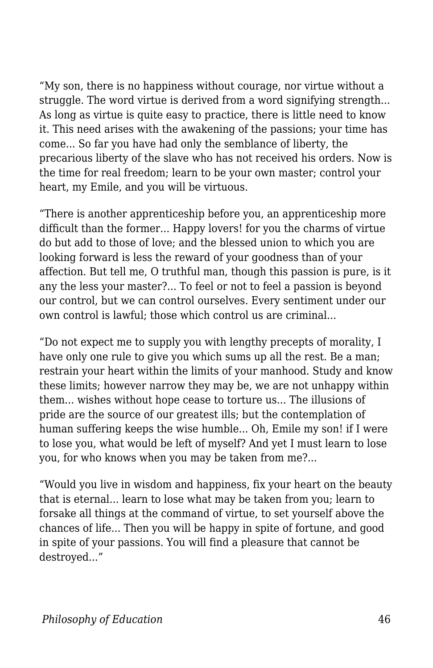"My son, there is no happiness without courage, nor virtue without a struggle. The word virtue is derived from a word signifying strength... As long as virtue is quite easy to practice, there is little need to know it. This need arises with the awakening of the passions; your time has come... So far you have had only the semblance of liberty, the precarious liberty of the slave who has not received his orders. Now is the time for real freedom; learn to be your own master; control your heart, my Emile, and you will be virtuous.

"There is another apprenticeship before you, an apprenticeship more difficult than the former... Happy lovers! for you the charms of virtue do but add to those of love; and the blessed union to which you are looking forward is less the reward of your goodness than of your affection. But tell me, O truthful man, though this passion is pure, is it any the less your master?... To feel or not to feel a passion is beyond our control, but we can control ourselves. Every sentiment under our own control is lawful; those which control us are criminal...

"Do not expect me to supply you with lengthy precepts of morality, I have only one rule to give you which sums up all the rest. Be a man; restrain your heart within the limits of your manhood. Study and know these limits; however narrow they may be, we are not unhappy within them... wishes without hope cease to torture us... The illusions of pride are the source of our greatest ills; but the contemplation of human suffering keeps the wise humble... Oh, Emile my son! if I were to lose you, what would be left of myself? And yet I must learn to lose you, for who knows when you may be taken from me?...

"Would you live in wisdom and happiness, fix your heart on the beauty that is eternal... learn to lose what may be taken from you; learn to forsake all things at the command of virtue, to set yourself above the chances of life... Then you will be happy in spite of fortune, and good in spite of your passions. You will find a pleasure that cannot be destroyed..."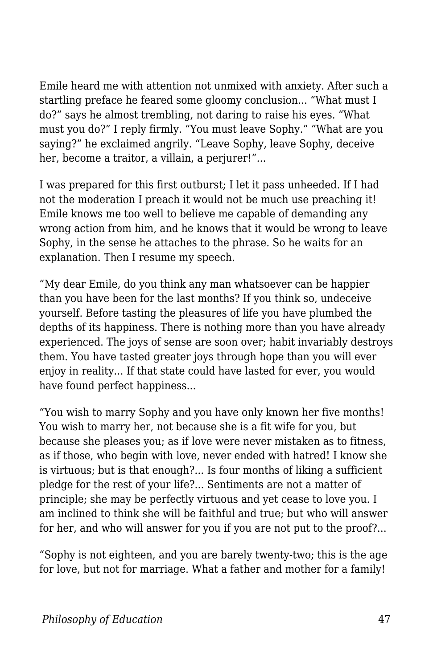Emile heard me with attention not unmixed with anxiety. After such a startling preface he feared some gloomy conclusion... "What must I do?" says he almost trembling, not daring to raise his eyes. "What must you do?" I reply firmly. "You must leave Sophy." "What are you saying?" he exclaimed angrily. "Leave Sophy, leave Sophy, deceive her, become a traitor, a villain, a perjurer!"...

I was prepared for this first outburst; I let it pass unheeded. If I had not the moderation I preach it would not be much use preaching it! Emile knows me too well to believe me capable of demanding any wrong action from him, and he knows that it would be wrong to leave Sophy, in the sense he attaches to the phrase. So he waits for an explanation. Then I resume my speech.

"My dear Emile, do you think any man whatsoever can be happier than you have been for the last months? If you think so, undeceive yourself. Before tasting the pleasures of life you have plumbed the depths of its happiness. There is nothing more than you have already experienced. The joys of sense are soon over; habit invariably destroys them. You have tasted greater joys through hope than you will ever enjoy in reality... If that state could have lasted for ever, you would have found perfect happiness...

"You wish to marry Sophy and you have only known her five months! You wish to marry her, not because she is a fit wife for you, but because she pleases you; as if love were never mistaken as to fitness, as if those, who begin with love, never ended with hatred! I know she is virtuous; but is that enough?... Is four months of liking a sufficient pledge for the rest of your life?... Sentiments are not a matter of principle; she may be perfectly virtuous and yet cease to love you. I am inclined to think she will be faithful and true; but who will answer for her, and who will answer for you if you are not put to the proof?...

"Sophy is not eighteen, and you are barely twenty-two; this is the age for love, but not for marriage. What a father and mother for a family!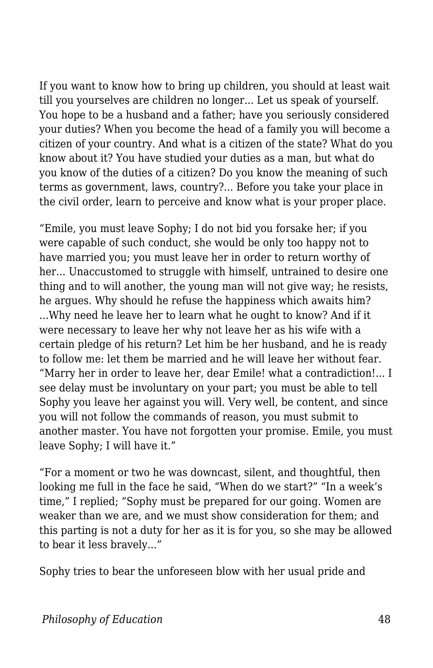If you want to know how to bring up children, you should at least wait till you yourselves are children no longer... Let us speak of yourself. You hope to be a husband and a father; have you seriously considered your duties? When you become the head of a family you will become a citizen of your country. And what is a citizen of the state? What do you know about it? You have studied your duties as a man, but what do you know of the duties of a citizen? Do you know the meaning of such terms as government, laws, country?... Before you take your place in the civil order, learn to perceive and know what is your proper place.

"Emile, you must leave Sophy; I do not bid you forsake her; if you were capable of such conduct, she would be only too happy not to have married you; you must leave her in order to return worthy of her... Unaccustomed to struggle with himself, untrained to desire one thing and to will another, the young man will not give way; he resists, he argues. Why should he refuse the happiness which awaits him? ...Why need he leave her to learn what he ought to know? And if it were necessary to leave her why not leave her as his wife with a certain pledge of his return? Let him be her husband, and he is ready to follow me: let them be married and he will leave her without fear. "Marry her in order to leave her, dear Emile! what a contradiction!... I see delay must be involuntary on your part; you must be able to tell Sophy you leave her against you will. Very well, be content, and since you will not follow the commands of reason, you must submit to another master. You have not forgotten your promise. Emile, you must leave Sophy; I will have it."

"For a moment or two he was downcast, silent, and thoughtful, then looking me full in the face he said, "When do we start?" "In a week's time," I replied; "Sophy must be prepared for our going. Women are weaker than we are, and we must show consideration for them; and this parting is not a duty for her as it is for you, so she may be allowed to bear it less bravely..."

Sophy tries to bear the unforeseen blow with her usual pride and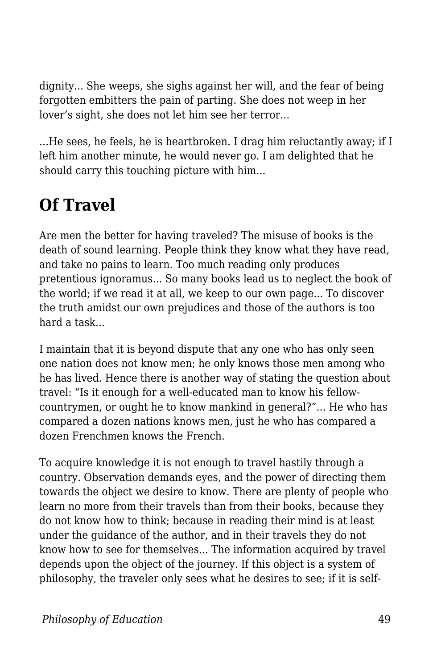dignity... She weeps, she sighs against her will, and the fear of being forgotten embitters the pain of parting. She does not weep in her lover's sight, she does not let him see her terror...

...He sees, he feels, he is heartbroken. I drag him reluctantly away; if I left him another minute, he would never go. I am delighted that he should carry this touching picture with him...

## **Of Travel**

Are men the better for having traveled? The misuse of books is the death of sound learning. People think they know what they have read, and take no pains to learn. Too much reading only produces pretentious ignoramus... So many books lead us to neglect the book of the world; if we read it at all, we keep to our own page... To discover the truth amidst our own prejudices and those of the authors is too hard a task...

I maintain that it is beyond dispute that any one who has only seen one nation does not know men; he only knows those men among who he has lived. Hence there is another way of stating the question about travel: "Is it enough for a well-educated man to know his fellowcountrymen, or ought he to know mankind in general?"... He who has compared a dozen nations knows men, just he who has compared a dozen Frenchmen knows the French.

To acquire knowledge it is not enough to travel hastily through a country. Observation demands eyes, and the power of directing them towards the object we desire to know. There are plenty of people who learn no more from their travels than from their books, because they do not know how to think; because in reading their mind is at least under the guidance of the author, and in their travels they do not know how to see for themselves... The information acquired by travel depends upon the object of the journey. If this object is a system of philosophy, the traveler only sees what he desires to see; if it is self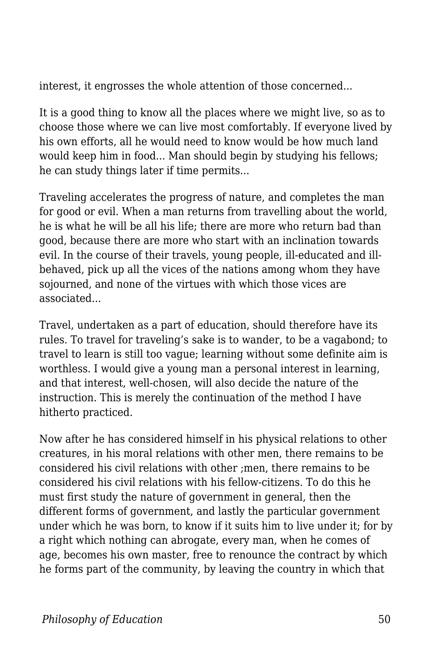interest, it engrosses the whole attention of those concerned...

It is a good thing to know all the places where we might live, so as to choose those where we can live most comfortably. If everyone lived by his own efforts, all he would need to know would be how much land would keep him in food... Man should begin by studying his fellows; he can study things later if time permits...

Traveling accelerates the progress of nature, and completes the man for good or evil. When a man returns from travelling about the world, he is what he will be all his life; there are more who return bad than good, because there are more who start with an inclination towards evil. In the course of their travels, young people, ill-educated and illbehaved, pick up all the vices of the nations among whom they have sojourned, and none of the virtues with which those vices are associated...

Travel, undertaken as a part of education, should therefore have its rules. To travel for traveling's sake is to wander, to be a vagabond; to travel to learn is still too vague; learning without some definite aim is worthless. I would give a young man a personal interest in learning, and that interest, well-chosen, will also decide the nature of the instruction. This is merely the continuation of the method I have hitherto practiced.

Now after he has considered himself in his physical relations to other creatures, in his moral relations with other men, there remains to be considered his civil relations with other ;men, there remains to be considered his civil relations with his fellow-citizens. To do this he must first study the nature of government in general, then the different forms of government, and lastly the particular government under which he was born, to know if it suits him to live under it; for by a right which nothing can abrogate, every man, when he comes of age, becomes his own master, free to renounce the contract by which he forms part of the community, by leaving the country in which that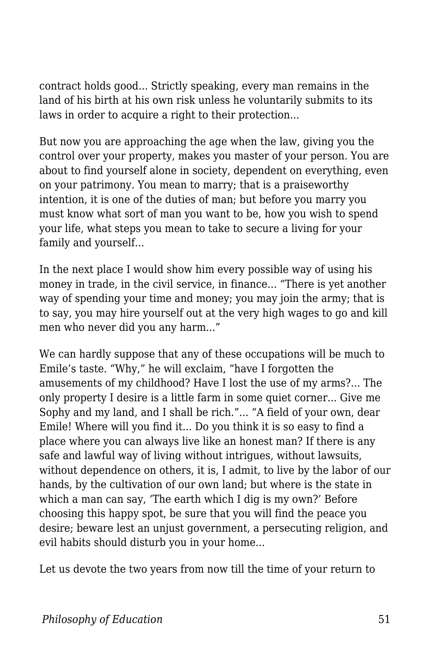contract holds good... Strictly speaking, every man remains in the land of his birth at his own risk unless he voluntarily submits to its laws in order to acquire a right to their protection...

But now you are approaching the age when the law, giving you the control over your property, makes you master of your person. You are about to find yourself alone in society, dependent on everything, even on your patrimony. You mean to marry; that is a praiseworthy intention, it is one of the duties of man; but before you marry you must know what sort of man you want to be, how you wish to spend your life, what steps you mean to take to secure a living for your family and yourself...

In the next place I would show him every possible way of using his money in trade, in the civil service, in finance... "There is yet another way of spending your time and money; you may join the army; that is to say, you may hire yourself out at the very high wages to go and kill men who never did you any harm..."

We can hardly suppose that any of these occupations will be much to Emile's taste. "Why," he will exclaim, "have I forgotten the amusements of my childhood? Have I lost the use of my arms?... The only property I desire is a little farm in some quiet corner... Give me Sophy and my land, and I shall be rich."... "A field of your own, dear Emile! Where will you find it... Do you think it is so easy to find a place where you can always live like an honest man? If there is any safe and lawful way of living without intrigues, without lawsuits, without dependence on others, it is, I admit, to live by the labor of our hands, by the cultivation of our own land; but where is the state in which a man can say, 'The earth which I dig is my own?' Before choosing this happy spot, be sure that you will find the peace you desire; beware lest an unjust government, a persecuting religion, and evil habits should disturb you in your home...

Let us devote the two years from now till the time of your return to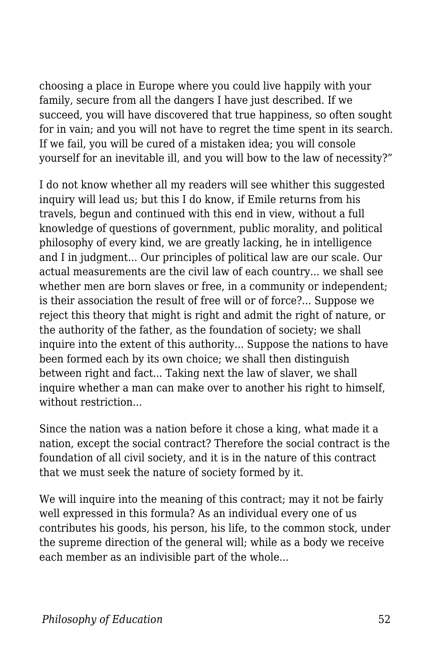choosing a place in Europe where you could live happily with your family, secure from all the dangers I have just described. If we succeed, you will have discovered that true happiness, so often sought for in vain; and you will not have to regret the time spent in its search. If we fail, you will be cured of a mistaken idea; you will console yourself for an inevitable ill, and you will bow to the law of necessity?"

I do not know whether all my readers will see whither this suggested inquiry will lead us; but this I do know, if Emile returns from his travels, begun and continued with this end in view, without a full knowledge of questions of government, public morality, and political philosophy of every kind, we are greatly lacking, he in intelligence and I in judgment... Our principles of political law are our scale. Our actual measurements are the civil law of each country... we shall see whether men are born slaves or free, in a community or independent; is their association the result of free will or of force?... Suppose we reject this theory that might is right and admit the right of nature, or the authority of the father, as the foundation of society; we shall inquire into the extent of this authority... Suppose the nations to have been formed each by its own choice; we shall then distinguish between right and fact... Taking next the law of slaver, we shall inquire whether a man can make over to another his right to himself, without restriction...

Since the nation was a nation before it chose a king, what made it a nation, except the social contract? Therefore the social contract is the foundation of all civil society, and it is in the nature of this contract that we must seek the nature of society formed by it.

We will inquire into the meaning of this contract; may it not be fairly well expressed in this formula? As an individual every one of us contributes his goods, his person, his life, to the common stock, under the supreme direction of the general will; while as a body we receive each member as an indivisible part of the whole...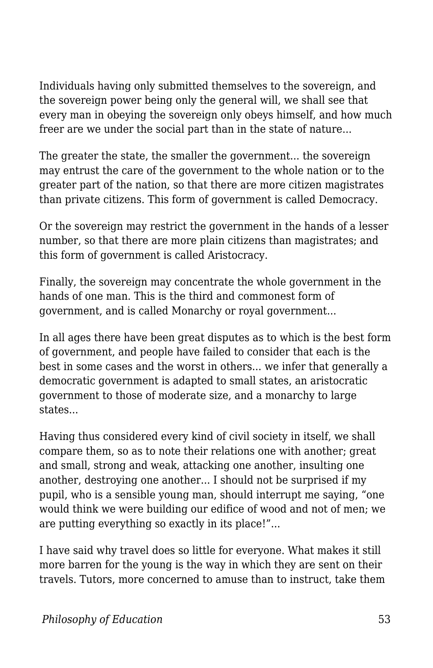Individuals having only submitted themselves to the sovereign, and the sovereign power being only the general will, we shall see that every man in obeying the sovereign only obeys himself, and how much freer are we under the social part than in the state of nature...

The greater the state, the smaller the government... the sovereign may entrust the care of the government to the whole nation or to the greater part of the nation, so that there are more citizen magistrates than private citizens. This form of government is called Democracy.

Or the sovereign may restrict the government in the hands of a lesser number, so that there are more plain citizens than magistrates; and this form of government is called Aristocracy.

Finally, the sovereign may concentrate the whole government in the hands of one man. This is the third and commonest form of government, and is called Monarchy or royal government...

In all ages there have been great disputes as to which is the best form of government, and people have failed to consider that each is the best in some cases and the worst in others... we infer that generally a democratic government is adapted to small states, an aristocratic government to those of moderate size, and a monarchy to large states...

Having thus considered every kind of civil society in itself, we shall compare them, so as to note their relations one with another; great and small, strong and weak, attacking one another, insulting one another, destroying one another... I should not be surprised if my pupil, who is a sensible young man, should interrupt me saying, "one would think we were building our edifice of wood and not of men; we are putting everything so exactly in its place!"...

I have said why travel does so little for everyone. What makes it still more barren for the young is the way in which they are sent on their travels. Tutors, more concerned to amuse than to instruct, take them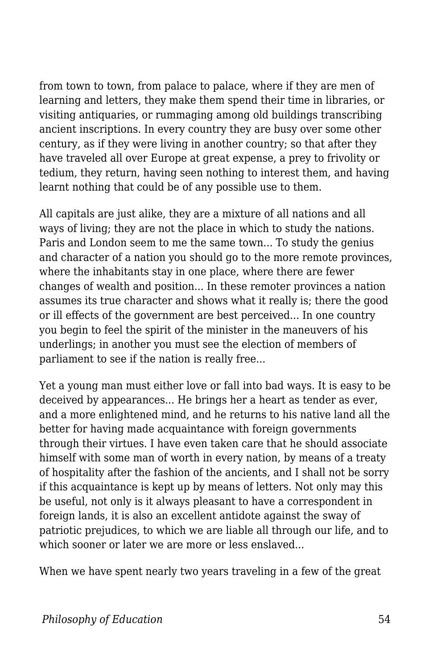from town to town, from palace to palace, where if they are men of learning and letters, they make them spend their time in libraries, or visiting antiquaries, or rummaging among old buildings transcribing ancient inscriptions. In every country they are busy over some other century, as if they were living in another country; so that after they have traveled all over Europe at great expense, a prey to frivolity or tedium, they return, having seen nothing to interest them, and having learnt nothing that could be of any possible use to them.

All capitals are just alike, they are a mixture of all nations and all ways of living; they are not the place in which to study the nations. Paris and London seem to me the same town... To study the genius and character of a nation you should go to the more remote provinces, where the inhabitants stay in one place, where there are fewer changes of wealth and position... In these remoter provinces a nation assumes its true character and shows what it really is; there the good or ill effects of the government are best perceived... In one country you begin to feel the spirit of the minister in the maneuvers of his underlings; in another you must see the election of members of parliament to see if the nation is really free...

Yet a young man must either love or fall into bad ways. It is easy to be deceived by appearances... He brings her a heart as tender as ever, and a more enlightened mind, and he returns to his native land all the better for having made acquaintance with foreign governments through their virtues. I have even taken care that he should associate himself with some man of worth in every nation, by means of a treaty of hospitality after the fashion of the ancients, and I shall not be sorry if this acquaintance is kept up by means of letters. Not only may this be useful, not only is it always pleasant to have a correspondent in foreign lands, it is also an excellent antidote against the sway of patriotic prejudices, to which we are liable all through our life, and to which sooner or later we are more or less enslaved...

When we have spent nearly two years traveling in a few of the great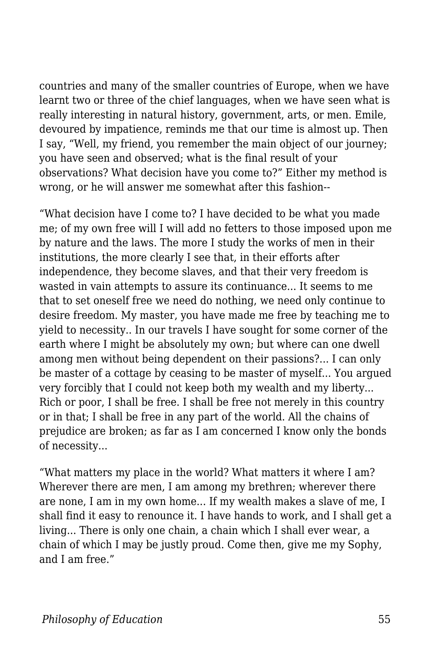countries and many of the smaller countries of Europe, when we have learnt two or three of the chief languages, when we have seen what is really interesting in natural history, government, arts, or men. Emile, devoured by impatience, reminds me that our time is almost up. Then I say, "Well, my friend, you remember the main object of our journey; you have seen and observed; what is the final result of your observations? What decision have you come to?" Either my method is wrong, or he will answer me somewhat after this fashion--

"What decision have I come to? I have decided to be what you made me; of my own free will I will add no fetters to those imposed upon me by nature and the laws. The more I study the works of men in their institutions, the more clearly I see that, in their efforts after independence, they become slaves, and that their very freedom is wasted in vain attempts to assure its continuance... It seems to me that to set oneself free we need do nothing, we need only continue to desire freedom. My master, you have made me free by teaching me to yield to necessity.. In our travels I have sought for some corner of the earth where I might be absolutely my own; but where can one dwell among men without being dependent on their passions?... I can only be master of a cottage by ceasing to be master of myself... You argued very forcibly that I could not keep both my wealth and my liberty... Rich or poor, I shall be free. I shall be free not merely in this country or in that; I shall be free in any part of the world. All the chains of prejudice are broken; as far as I am concerned I know only the bonds of necessity...

"What matters my place in the world? What matters it where I am? Wherever there are men, I am among my brethren; wherever there are none, I am in my own home... If my wealth makes a slave of me, I shall find it easy to renounce it. I have hands to work, and I shall get a living... There is only one chain, a chain which I shall ever wear, a chain of which I may be justly proud. Come then, give me my Sophy, and I am free."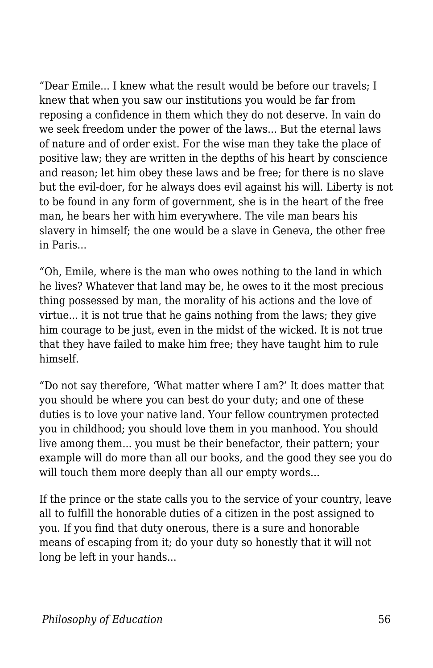"Dear Emile... I knew what the result would be before our travels; I knew that when you saw our institutions you would be far from reposing a confidence in them which they do not deserve. In vain do we seek freedom under the power of the laws... But the eternal laws of nature and of order exist. For the wise man they take the place of positive law; they are written in the depths of his heart by conscience and reason; let him obey these laws and be free; for there is no slave but the evil-doer, for he always does evil against his will. Liberty is not to be found in any form of government, she is in the heart of the free man, he bears her with him everywhere. The vile man bears his slavery in himself; the one would be a slave in Geneva, the other free in Paris...

"Oh, Emile, where is the man who owes nothing to the land in which he lives? Whatever that land may be, he owes to it the most precious thing possessed by man, the morality of his actions and the love of virtue... it is not true that he gains nothing from the laws; they give him courage to be just, even in the midst of the wicked. It is not true that they have failed to make him free; they have taught him to rule himself.

"Do not say therefore, 'What matter where I am?' It does matter that you should be where you can best do your duty; and one of these duties is to love your native land. Your fellow countrymen protected you in childhood; you should love them in you manhood. You should live among them... you must be their benefactor, their pattern; your example will do more than all our books, and the good they see you do will touch them more deeply than all our empty words...

If the prince or the state calls you to the service of your country, leave all to fulfill the honorable duties of a citizen in the post assigned to you. If you find that duty onerous, there is a sure and honorable means of escaping from it; do your duty so honestly that it will not long be left in your hands...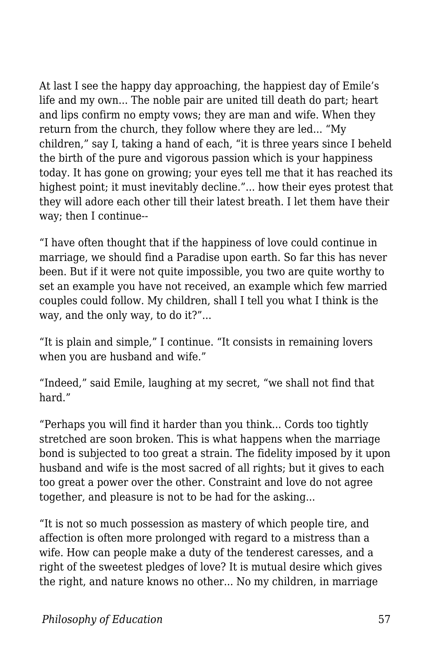At last I see the happy day approaching, the happiest day of Emile's life and my own... The noble pair are united till death do part; heart and lips confirm no empty vows; they are man and wife. When they return from the church, they follow where they are led... "My children," say I, taking a hand of each, "it is three years since I beheld the birth of the pure and vigorous passion which is your happiness today. It has gone on growing; your eyes tell me that it has reached its highest point; it must inevitably decline."... how their eyes protest that they will adore each other till their latest breath. I let them have their way; then I continue--

"I have often thought that if the happiness of love could continue in marriage, we should find a Paradise upon earth. So far this has never been. But if it were not quite impossible, you two are quite worthy to set an example you have not received, an example which few married couples could follow. My children, shall I tell you what I think is the way, and the only way, to do it?"...

"It is plain and simple," I continue. "It consists in remaining lovers when you are husband and wife."

"Indeed," said Emile, laughing at my secret, "we shall not find that hard<sup>"</sup>

"Perhaps you will find it harder than you think... Cords too tightly stretched are soon broken. This is what happens when the marriage bond is subjected to too great a strain. The fidelity imposed by it upon husband and wife is the most sacred of all rights; but it gives to each too great a power over the other. Constraint and love do not agree together, and pleasure is not to be had for the asking...

"It is not so much possession as mastery of which people tire, and affection is often more prolonged with regard to a mistress than a wife. How can people make a duty of the tenderest caresses, and a right of the sweetest pledges of love? It is mutual desire which gives the right, and nature knows no other... No my children, in marriage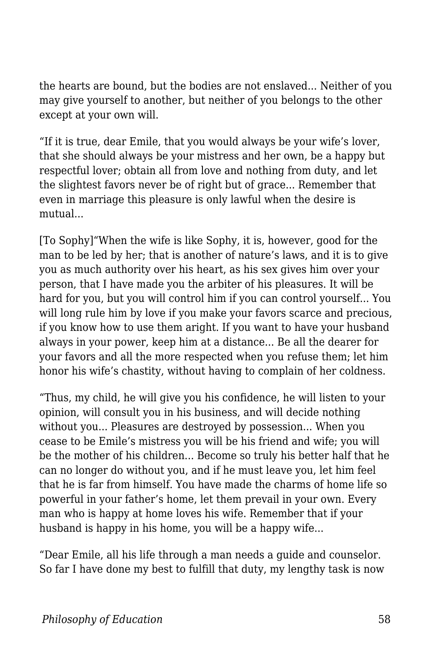the hearts are bound, but the bodies are not enslaved... Neither of you may give yourself to another, but neither of you belongs to the other except at your own will.

"If it is true, dear Emile, that you would always be your wife's lover, that she should always be your mistress and her own, be a happy but respectful lover; obtain all from love and nothing from duty, and let the slightest favors never be of right but of grace... Remember that even in marriage this pleasure is only lawful when the desire is mutual...

[To Sophy]"When the wife is like Sophy, it is, however, good for the man to be led by her; that is another of nature's laws, and it is to give you as much authority over his heart, as his sex gives him over your person, that I have made you the arbiter of his pleasures. It will be hard for you, but you will control him if you can control yourself... You will long rule him by love if you make your favors scarce and precious, if you know how to use them aright. If you want to have your husband always in your power, keep him at a distance... Be all the dearer for your favors and all the more respected when you refuse them; let him honor his wife's chastity, without having to complain of her coldness.

"Thus, my child, he will give you his confidence, he will listen to your opinion, will consult you in his business, and will decide nothing without you... Pleasures are destroyed by possession... When you cease to be Emile's mistress you will be his friend and wife; you will be the mother of his children... Become so truly his better half that he can no longer do without you, and if he must leave you, let him feel that he is far from himself. You have made the charms of home life so powerful in your father's home, let them prevail in your own. Every man who is happy at home loves his wife. Remember that if your husband is happy in his home, you will be a happy wife...

"Dear Emile, all his life through a man needs a guide and counselor. So far I have done my best to fulfill that duty, my lengthy task is now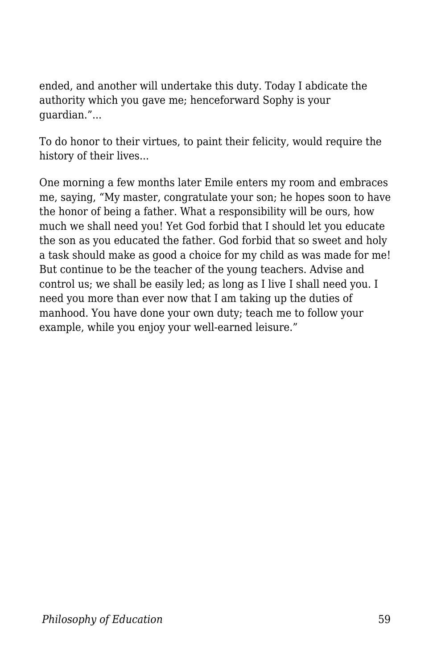ended, and another will undertake this duty. Today I abdicate the authority which you gave me; henceforward Sophy is your guardian."...

To do honor to their virtues, to paint their felicity, would require the history of their lives...

One morning a few months later Emile enters my room and embraces me, saying, "My master, congratulate your son; he hopes soon to have the honor of being a father. What a responsibility will be ours, how much we shall need you! Yet God forbid that I should let you educate the son as you educated the father. God forbid that so sweet and holy a task should make as good a choice for my child as was made for me! But continue to be the teacher of the young teachers. Advise and control us; we shall be easily led; as long as I live I shall need you. I need you more than ever now that I am taking up the duties of manhood. You have done your own duty; teach me to follow your example, while you enjoy your well-earned leisure."